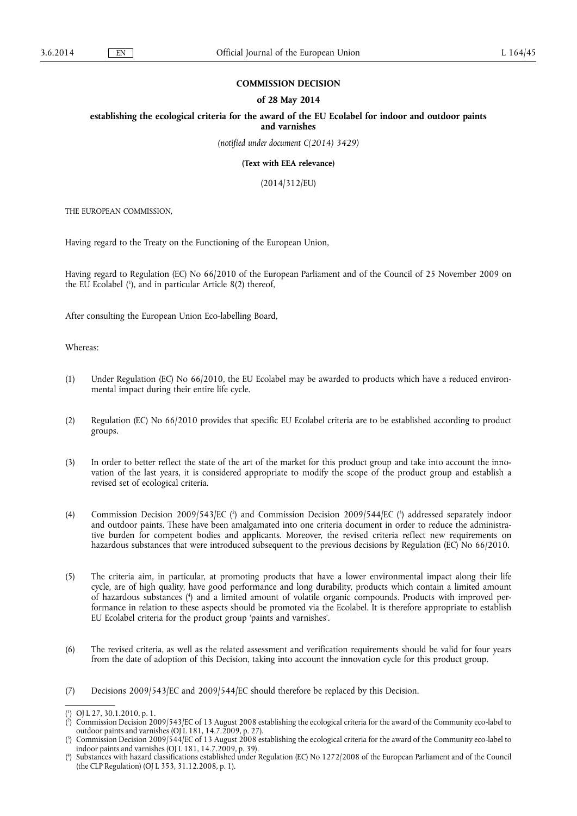#### **COMMISSION DECISION**

#### **of 28 May 2014**

**establishing the ecological criteria for the award of the EU Ecolabel for indoor and outdoor paints and varnishes** 

*(notified under document C(2014) 3429)* 

**(Text with EEA relevance)** 

(2014/312/EU)

THE EUROPEAN COMMISSION,

Having regard to the Treaty on the Functioning of the European Union,

Having regard to Regulation (EC) No 66/2010 of the European Parliament and of the Council of 25 November 2009 on the EU Ecolabel ( 1 ), and in particular Article 8(2) thereof,

After consulting the European Union Eco-labelling Board,

Whereas:

- (1) Under Regulation (EC) No 66/2010, the EU Ecolabel may be awarded to products which have a reduced environmental impact during their entire life cycle.
- (2) Regulation (EC) No 66/2010 provides that specific EU Ecolabel criteria are to be established according to product groups.
- (3) In order to better reflect the state of the art of the market for this product group and take into account the innovation of the last years, it is considered appropriate to modify the scope of the product group and establish a revised set of ecological criteria.
- (4) Commission Decision 2009/543/EC ( 2 ) and Commission Decision 2009/544/EC ( 3 ) addressed separately indoor and outdoor paints. These have been amalgamated into one criteria document in order to reduce the administrative burden for competent bodies and applicants. Moreover, the revised criteria reflect new requirements on hazardous substances that were introduced subsequent to the previous decisions by Regulation (EC) No 66/2010.
- (5) The criteria aim, in particular, at promoting products that have a lower environmental impact along their life cycle, are of high quality, have good performance and long durability, products which contain a limited amount of hazardous substances ( 4 ) and a limited amount of volatile organic compounds. Products with improved performance in relation to these aspects should be promoted via the Ecolabel. It is therefore appropriate to establish EU Ecolabel criteria for the product group 'paints and varnishes'.
- (6) The revised criteria, as well as the related assessment and verification requirements should be valid for four years from the date of adoption of this Decision, taking into account the innovation cycle for this product group.
- (7) Decisions 2009/543/EC and 2009/544/EC should therefore be replaced by this Decision.

<sup>(</sup> 1 ) OJ L 27, 30.1.2010, p. 1.

<sup>(</sup> 2 ) Commission Decision 2009/543/EC of 13 August 2008 establishing the ecological criteria for the award of the Community eco-label to outdoor paints and varnishes (OJ L 181, 14.7.2009, p. 27).

<sup>(</sup> 3 ) Commission Decision 2009/544/EC of 13 August 2008 establishing the ecological criteria for the award of the Community eco-label to indoor paints and varnishes (OJ L 181, 14.7.2009, p. 39).

<sup>(</sup> 4 ) Substances with hazard classifications established under Regulation (EC) No 1272/2008 of the European Parliament and of the Council (the CLP Regulation) (OJ L 353, 31.12.2008, p. 1).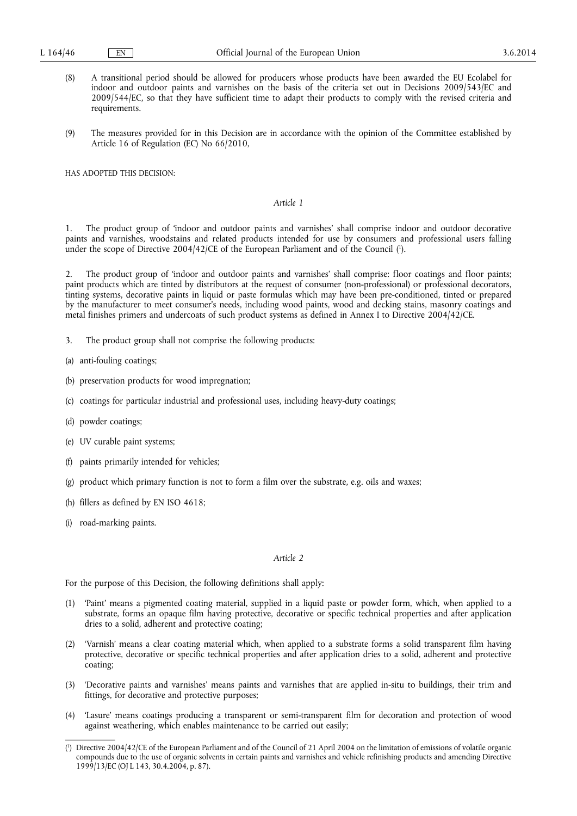- (8) A transitional period should be allowed for producers whose products have been awarded the EU Ecolabel for indoor and outdoor paints and varnishes on the basis of the criteria set out in Decisions 2009/543/EC and 2009/544/EC, so that they have sufficient time to adapt their products to comply with the revised criteria and requirements.
- (9) The measures provided for in this Decision are in accordance with the opinion of the Committee established by Article 16 of Regulation (EC) No 66/2010,

HAS ADOPTED THIS DECISION:

#### *Article 1*

1. The product group of 'indoor and outdoor paints and varnishes' shall comprise indoor and outdoor decorative paints and varnishes, woodstains and related products intended for use by consumers and professional users falling under the scope of Directive 2004/42/CE of the European Parliament and of the Council (').

2. The product group of 'indoor and outdoor paints and varnishes' shall comprise: floor coatings and floor paints; paint products which are tinted by distributors at the request of consumer (non-professional) or professional decorators, tinting systems, decorative paints in liquid or paste formulas which may have been pre-conditioned, tinted or prepared by the manufacturer to meet consumer's needs, including wood paints, wood and decking stains, masonry coatings and metal finishes primers and undercoats of such product systems as defined in Annex I to Directive 2004/42/CE.

- 3. The product group shall not comprise the following products:
- (a) anti-fouling coatings;
- (b) preservation products for wood impregnation;
- (c) coatings for particular industrial and professional uses, including heavy-duty coatings;
- (d) powder coatings;
- (e) UV curable paint systems;
- (f) paints primarily intended for vehicles;
- (g) product which primary function is not to form a film over the substrate, e.g. oils and waxes;
- (h) fillers as defined by EN ISO 4618;
- (i) road-marking paints.

#### *Article 2*

For the purpose of this Decision, the following definitions shall apply:

- (1) 'Paint' means a pigmented coating material, supplied in a liquid paste or powder form, which, when applied to a substrate, forms an opaque film having protective, decorative or specific technical properties and after application dries to a solid, adherent and protective coating;
- (2) 'Varnish' means a clear coating material which, when applied to a substrate forms a solid transparent film having protective, decorative or specific technical properties and after application dries to a solid, adherent and protective coating;
- (3) 'Decorative paints and varnishes' means paints and varnishes that are applied in-situ to buildings, their trim and fittings, for decorative and protective purposes;
- (4) 'Lasure' means coatings producing a transparent or semi-transparent film for decoration and protection of wood against weathering, which enables maintenance to be carried out easily;

<sup>(</sup> 1 ) Directive 2004/42/CE of the European Parliament and of the Council of 21 April 2004 on the limitation of emissions of volatile organic compounds due to the use of organic solvents in certain paints and varnishes and vehicle refinishing products and amending Directive 1999/13/EC (OJ L 143, 30.4.2004, p. 87).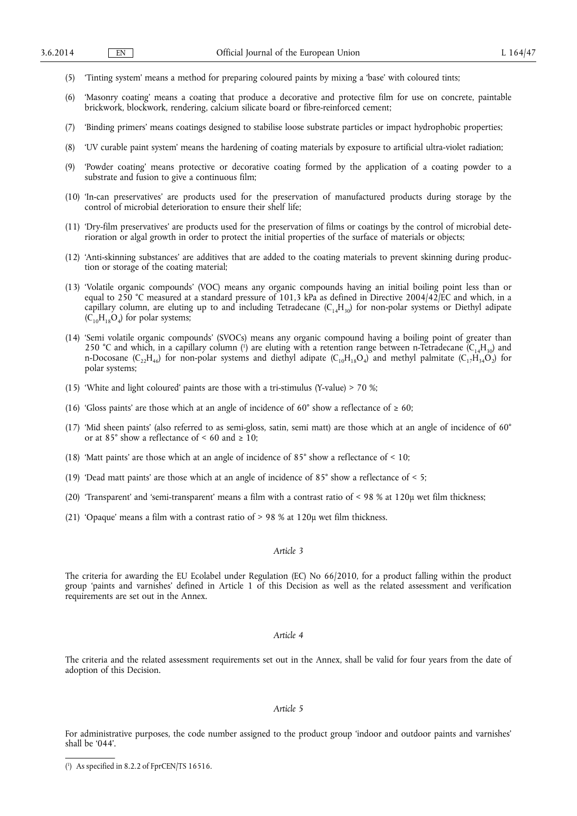- (5) 'Tinting system' means a method for preparing coloured paints by mixing a 'base' with coloured tints;
- (6) 'Masonry coating' means a coating that produce a decorative and protective film for use on concrete, paintable brickwork, blockwork, rendering, calcium silicate board or fibre-reinforced cement;
- (7) 'Binding primers' means coatings designed to stabilise loose substrate particles or impact hydrophobic properties;
- (8) 'UV curable paint system' means the hardening of coating materials by exposure to artificial ultra-violet radiation;
- (9) 'Powder coating' means protective or decorative coating formed by the application of a coating powder to a substrate and fusion to give a continuous film;
- (10) 'In-can preservatives' are products used for the preservation of manufactured products during storage by the control of microbial deterioration to ensure their shelf life;
- (11) 'Dry-film preservatives' are products used for the preservation of films or coatings by the control of microbial deterioration or algal growth in order to protect the initial properties of the surface of materials or objects;
- (12) 'Anti-skinning substances' are additives that are added to the coating materials to prevent skinning during production or storage of the coating material;
- (13) 'Volatile organic compounds' (VOC) means any organic compounds having an initial boiling point less than or equal to 250 °C measured at a standard pressure of 101,3 kPa as defined in Directive 2004/42/EC and which, in a capillary column, are eluting up to and including Tetradecane ( $C_{14}H_{30}$ ) for non-polar systems or Diethyl adipate  $(C_{10}H_{18}O_4)$  for polar systems;
- (14) 'Semi volatile organic compounds' (SVOCs) means any organic compound having a boiling point of greater than 250 °C and which, in a capillary column (<sup>1</sup>) are eluting with a retention range between n-Tetradecane ( $C_{14}H_{30}$ ) and n-Docosane (C<sub>22</sub>H<sub>46</sub>) for non-polar systems and diethyl adipate (C<sub>10</sub>H<sub>18</sub>O<sub>4</sub>) and methyl palmitate (C<sub>12</sub>H<sub>34</sub>O<sub>2</sub>) for polar systems;
- (15) 'White and light coloured' paints are those with a tri-stimulus (Y-value) > 70 %;
- (16) 'Gloss paints' are those which at an angle of incidence of 60° show a reflectance of  $\geq 60$ ;
- (17) 'Mid sheen paints' (also referred to as semi-gloss, satin, semi matt) are those which at an angle of incidence of 60° or at 85° show a reflectance of  $\leq 60$  and  $\geq 10$ ;
- (18) 'Matt paints' are those which at an angle of incidence of 85° show a reflectance of < 10;
- (19) 'Dead matt paints' are those which at an angle of incidence of  $85^{\circ}$  show a reflectance of  $\leq 5$ ;
- (20) 'Transparent' and 'semi-transparent' means a film with a contrast ratio of < 98 % at 120µ wet film thickness;
- (21) 'Opaque' means a film with a contrast ratio of > 98 % at 120µ wet film thickness.

#### *Article 3*

The criteria for awarding the EU Ecolabel under Regulation (EC) No 66/2010, for a product falling within the product group 'paints and varnishes' defined in Article 1 of this Decision as well as the related assessment and verification requirements are set out in the Annex.

#### *Article 4*

The criteria and the related assessment requirements set out in the Annex, shall be valid for four years from the date of adoption of this Decision.

#### *Article 5*

For administrative purposes, the code number assigned to the product group 'indoor and outdoor paints and varnishes' shall be '044'.

<sup>(</sup> 1 ) As specified in 8.2.2 of FprCEN/TS 16516.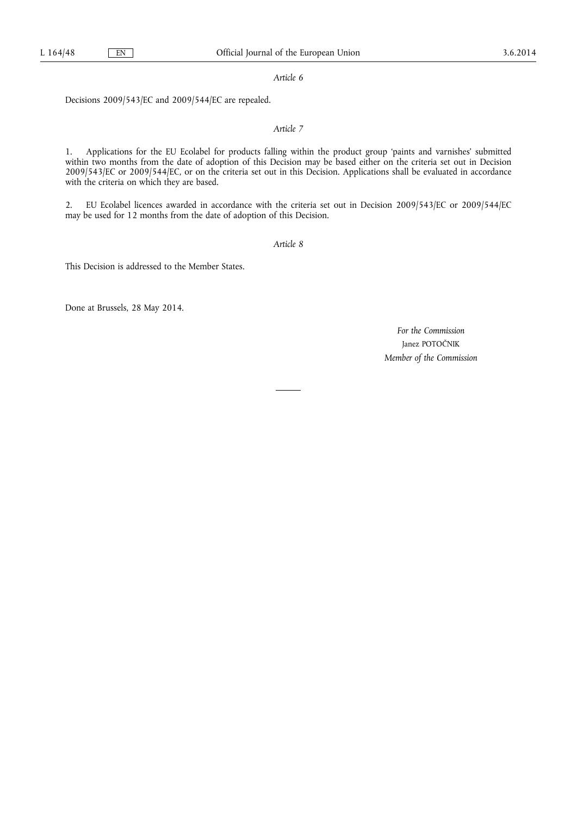*Article 6* 

Decisions 2009/543/EC and 2009/544/EC are repealed.

#### *Article 7*

1. Applications for the EU Ecolabel for products falling within the product group 'paints and varnishes' submitted within two months from the date of adoption of this Decision may be based either on the criteria set out in Decision 2009/543/EC or 2009/544/EC, or on the criteria set out in this Decision. Applications shall be evaluated in accordance with the criteria on which they are based.

2. EU Ecolabel licences awarded in accordance with the criteria set out in Decision 2009/543/EC or 2009/544/EC may be used for 12 months from the date of adoption of this Decision.

*Article 8* 

This Decision is addressed to the Member States.

Done at Brussels, 28 May 2014.

*For the Commission*  Janez POTOČNIK *Member of the Commission*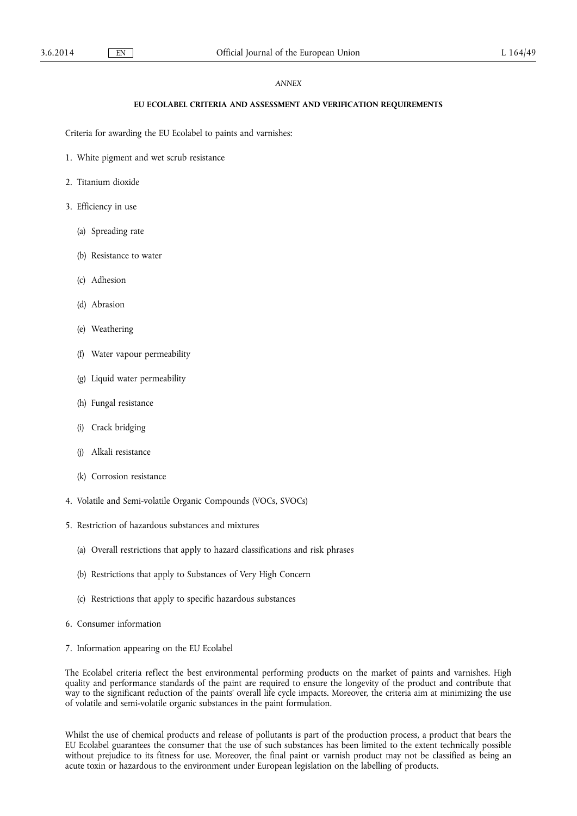#### *ANNEX*

#### **EU ECOLABEL CRITERIA AND ASSESSMENT AND VERIFICATION REQUIREMENTS**

Criteria for awarding the EU Ecolabel to paints and varnishes:

- 1. White pigment and wet scrub resistance
- 2. Titanium dioxide
- 3. Efficiency in use
	- (a) Spreading rate
	- (b) Resistance to water
	- (c) Adhesion
	- (d) Abrasion
	- (e) Weathering
	- (f) Water vapour permeability
	- (g) Liquid water permeability
	- (h) Fungal resistance
	- (i) Crack bridging
	- (j) Alkali resistance
	- (k) Corrosion resistance
- 4. Volatile and Semi-volatile Organic Compounds (VOCs, SVOCs)
- 5. Restriction of hazardous substances and mixtures
	- (a) Overall restrictions that apply to hazard classifications and risk phrases
	- (b) Restrictions that apply to Substances of Very High Concern
	- (c) Restrictions that apply to specific hazardous substances
- 6. Consumer information
- 7. Information appearing on the EU Ecolabel

The Ecolabel criteria reflect the best environmental performing products on the market of paints and varnishes. High quality and performance standards of the paint are required to ensure the longevity of the product and contribute that way to the significant reduction of the paints' overall life cycle impacts. Moreover, the criteria aim at minimizing the use of volatile and semi-volatile organic substances in the paint formulation.

Whilst the use of chemical products and release of pollutants is part of the production process, a product that bears the EU Ecolabel guarantees the consumer that the use of such substances has been limited to the extent technically possible without prejudice to its fitness for use. Moreover, the final paint or varnish product may not be classified as being an acute toxin or hazardous to the environment under European legislation on the labelling of products.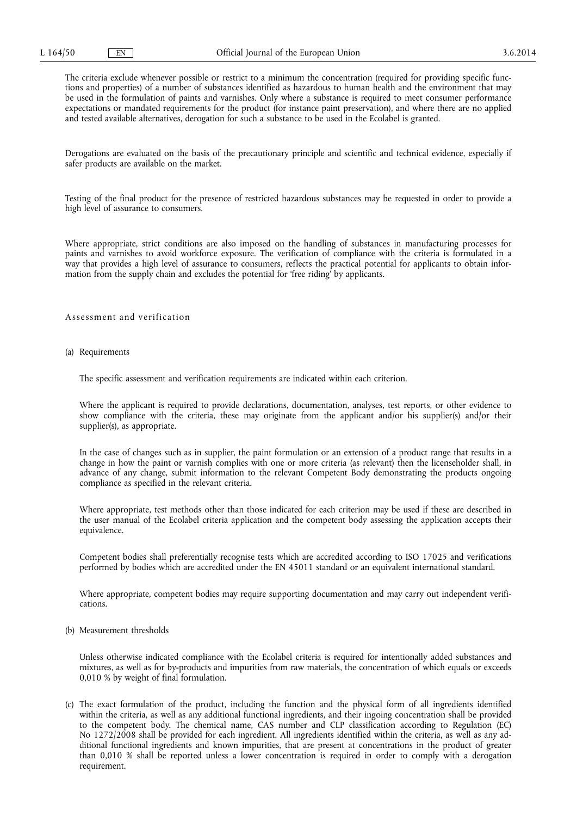The criteria exclude whenever possible or restrict to a minimum the concentration (required for providing specific functions and properties) of a number of substances identified as hazardous to human health and the environment that may be used in the formulation of paints and varnishes. Only where a substance is required to meet consumer performance expectations or mandated requirements for the product (for instance paint preservation), and where there are no applied and tested available alternatives, derogation for such a substance to be used in the Ecolabel is granted.

Derogations are evaluated on the basis of the precautionary principle and scientific and technical evidence, especially if safer products are available on the market.

Testing of the final product for the presence of restricted hazardous substances may be requested in order to provide a high level of assurance to consumers.

Where appropriate, strict conditions are also imposed on the handling of substances in manufacturing processes for paints and varnishes to avoid workforce exposure. The verification of compliance with the criteria is formulated in a way that provides a high level of assurance to consumers, reflects the practical potential for applicants to obtain information from the supply chain and excludes the potential for 'free riding' by applicants.

#### Assessment and verification

(a) Requirements

The specific assessment and verification requirements are indicated within each criterion.

Where the applicant is required to provide declarations, documentation, analyses, test reports, or other evidence to show compliance with the criteria, these may originate from the applicant and/or his supplier(s) and/or their supplier(s), as appropriate.

In the case of changes such as in supplier, the paint formulation or an extension of a product range that results in a change in how the paint or varnish complies with one or more criteria (as relevant) then the licenseholder shall, in advance of any change, submit information to the relevant Competent Body demonstrating the products ongoing compliance as specified in the relevant criteria.

Where appropriate, test methods other than those indicated for each criterion may be used if these are described in the user manual of the Ecolabel criteria application and the competent body assessing the application accepts their equivalence.

Competent bodies shall preferentially recognise tests which are accredited according to ISO 17025 and verifications performed by bodies which are accredited under the EN 45011 standard or an equivalent international standard.

Where appropriate, competent bodies may require supporting documentation and may carry out independent verifications.

(b) Measurement thresholds

Unless otherwise indicated compliance with the Ecolabel criteria is required for intentionally added substances and mixtures, as well as for by-products and impurities from raw materials, the concentration of which equals or exceeds 0,010 % by weight of final formulation.

(c) The exact formulation of the product, including the function and the physical form of all ingredients identified within the criteria, as well as any additional functional ingredients, and their ingoing concentration shall be provided to the competent body. The chemical name, CAS number and CLP classification according to Regulation (EC) No 1272/2008 shall be provided for each ingredient. All ingredients identified within the criteria, as well as any additional functional ingredients and known impurities, that are present at concentrations in the product of greater than 0,010 % shall be reported unless a lower concentration is required in order to comply with a derogation requirement.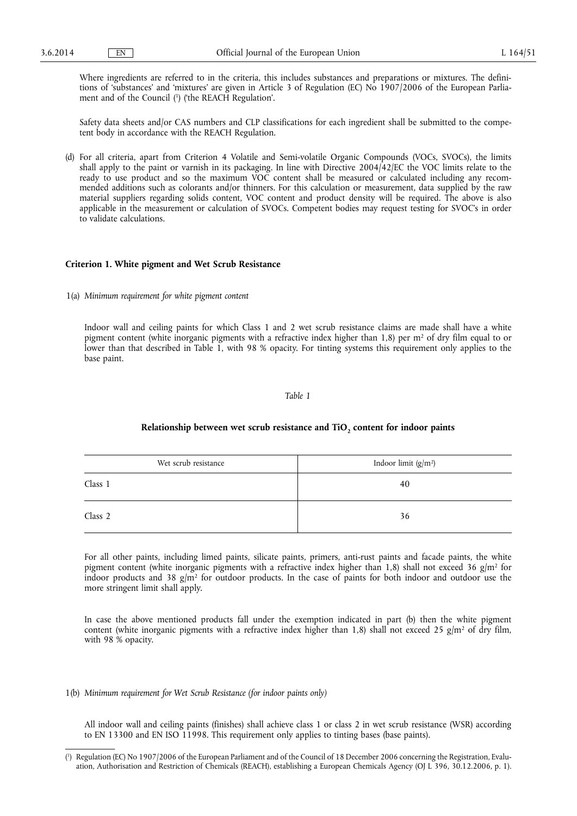Where ingredients are referred to in the criteria, this includes substances and preparations or mixtures. The definitions of 'substances' and 'mixtures' are given in Article 3 of Regulation (EC) No 1907/2006 of the European Parliament and of the Council ( 1 ) ('the REACH Regulation'.

Safety data sheets and/or CAS numbers and CLP classifications for each ingredient shall be submitted to the competent body in accordance with the REACH Regulation.

(d) For all criteria, apart from Criterion 4 Volatile and Semi-volatile Organic Compounds (VOCs, SVOCs), the limits shall apply to the paint or varnish in its packaging. In line with Directive 2004/42/EC the VOC limits relate to the ready to use product and so the maximum VOC content shall be measured or calculated including any recommended additions such as colorants and/or thinners. For this calculation or measurement, data supplied by the raw material suppliers regarding solids content, VOC content and product density will be required. The above is also applicable in the measurement or calculation of SVOCs. Competent bodies may request testing for SVOC's in order to validate calculations.

#### **Criterion 1. White pigment and Wet Scrub Resistance**

1(a) *Minimum requirement for white pigment content* 

Indoor wall and ceiling paints for which Class 1 and 2 wet scrub resistance claims are made shall have a white pigment content (white inorganic pigments with a refractive index higher than 1,8) per  $m<sup>2</sup>$  of dry film equal to or lower than that described in Table 1, with 98 % opacity. For tinting systems this requirement only applies to the base paint.

#### *Table 1*

# Relationship between wet scrub resistance and TiO<sub>2</sub> content for indoor paints

| Wet scrub resistance | Indoor limit $(g/m^2)$ |
|----------------------|------------------------|
| Class 1              | 40                     |
| Class 2              | 36                     |

For all other paints, including limed paints, silicate paints, primers, anti-rust paints and facade paints, the white pigment content (white inorganic pigments with a refractive index higher than 1,8) shall not exceed 36 g/m<sup>2</sup> for indoor products and 38  $g/m^2$  for outdoor products. In the case of paints for both indoor and outdoor use the more stringent limit shall apply.

In case the above mentioned products fall under the exemption indicated in part (b) then the white pigment content (white inorganic pigments with a refractive index higher than 1,8) shall not exceed 25 g/m<sup>2</sup> of dry film, with 98 % opacity.

#### 1(b) *Minimum requirement for Wet Scrub Resistance (for indoor paints only)*

All indoor wall and ceiling paints (finishes) shall achieve class 1 or class 2 in wet scrub resistance (WSR) according to EN 13300 and EN ISO 11998. This requirement only applies to tinting bases (base paints).

<sup>(</sup> 1 ) Regulation (EC) No 1907/2006 of the European Parliament and of the Council of 18 December 2006 concerning the Registration, Evaluation, Authorisation and Restriction of Chemicals (REACH), establishing a European Chemicals Agency (OJ L 396, 30.12.2006, p. 1).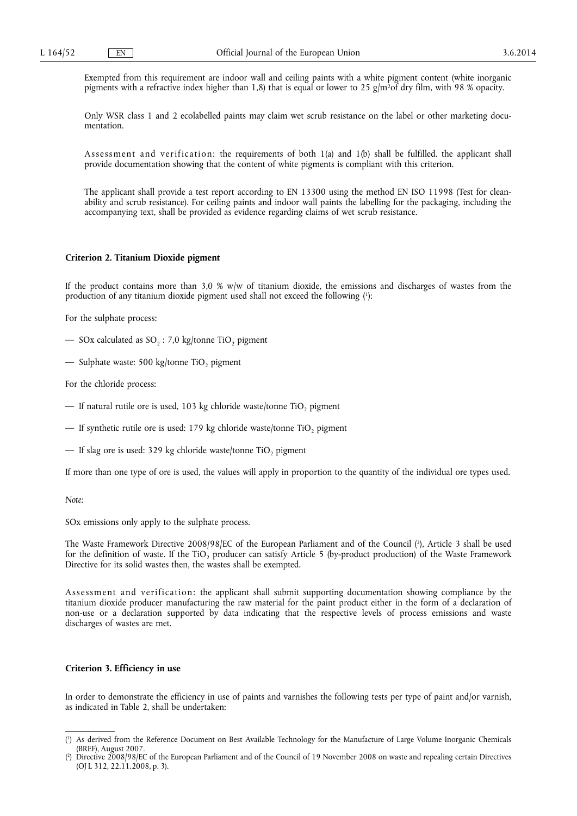Exempted from this requirement are indoor wall and ceiling paints with a white pigment content (white inorganic pigments with a refractive index higher than 1,8) that is equal or lower to 25 g/m<sup>2</sup>of dry film, with 98 % opacity.

Only WSR class 1 and 2 ecolabelled paints may claim wet scrub resistance on the label or other marketing documentation.

Assessment and verification: the requirements of both  $1(a)$  and  $1(b)$  shall be fulfilled. the applicant shall provide documentation showing that the content of white pigments is compliant with this criterion.

The applicant shall provide a test report according to EN 13300 using the method EN ISO 11998 (Test for cleanability and scrub resistance). For ceiling paints and indoor wall paints the labelling for the packaging, including the accompanying text, shall be provided as evidence regarding claims of wet scrub resistance.

#### **Criterion 2. Titanium Dioxide pigment**

If the product contains more than  $3.0 \%$  w/w of titanium dioxide, the emissions and discharges of wastes from the production of any titanium dioxide pigment used shall not exceed the following ( 1 ):

For the sulphate process:

- SOx calculated as  $SO_2$ : 7,0 kg/tonne TiO<sub>2</sub> pigment
- Sulphate waste: 500 kg/tonne TiO<sub>2</sub> pigment

For the chloride process:

- If natural rutile ore is used, 103 kg chloride waste/tonne TiO<sub>2</sub> pigment
- If synthetic rutile ore is used: 179 kg chloride waste/tonne TiO<sub>2</sub> pigment
- If slag ore is used: 329 kg chloride waste/tonne TiO<sub>2</sub> pigment

If more than one type of ore is used, the values will apply in proportion to the quantity of the individual ore types used.

#### *Note:*

SOx emissions only apply to the sulphate process.

The Waste Framework Directive 2008/98/EC of the European Parliament and of the Council ( 2 ), Article 3 shall be used for the definition of waste. If the TiO<sub>2</sub> producer can satisfy Article 5 (by-product production) of the Waste Framework Directive for its solid wastes then, the wastes shall be exempted.

Assessment and verification: the applicant shall submit supporting documentation showing compliance by the titanium dioxide producer manufacturing the raw material for the paint product either in the form of a declaration of non-use or a declaration supported by data indicating that the respective levels of process emissions and waste discharges of wastes are met.

#### **Criterion 3. Efficiency in use**

In order to demonstrate the efficiency in use of paints and varnishes the following tests per type of paint and/or varnish, as indicated in Table 2, shall be undertaken:

<sup>(</sup> 1 ) As derived from the Reference Document on Best Available Technology for the Manufacture of Large Volume Inorganic Chemicals (BREF), August 2007.

<sup>(</sup> 2 ) Directive 2008/98/EC of the European Parliament and of the Council of 19 November 2008 on waste and repealing certain Directives (OJ L 312, 22.11.2008, p. 3).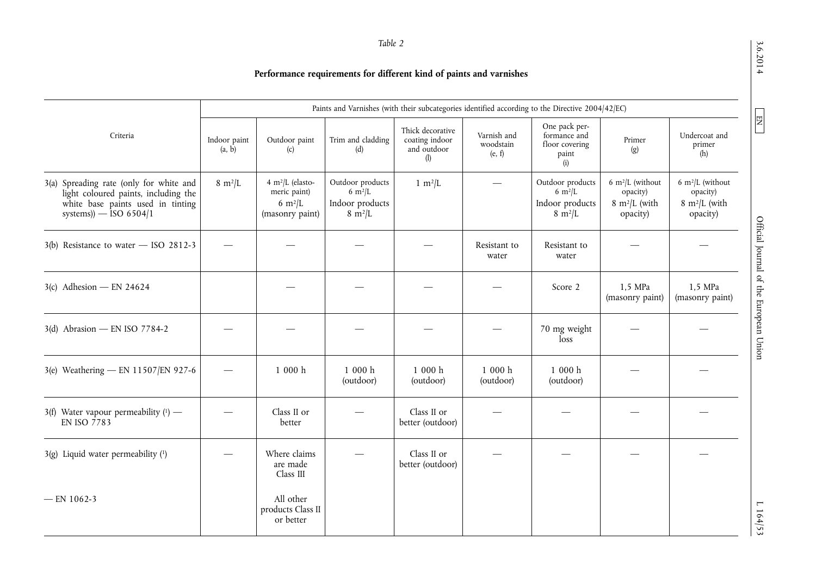3.6.2014

 $\boxed{\phantom{000} \text{EM}}$ 

 $3.62$  D  $\mu$  D  $\mu$  D  $\mu$  D  $\mu$  D  $\mu$  D  $\mu$  D  $\mu$  D  $\mu$  D  $\mu$  D  $\mu$  D  $\mu$  D  $\mu$  D  $\mu$  D  $\mu$  D  $\mu$  D  $\mu$  D  $\mu$  D  $\mu$  D  $\mu$  D  $\mu$  D  $\mu$  D  $\mu$  D  $\mu$  D  $\mu$  D  $\mu$  D  $\mu$  D  $\mu$  D  $\mu$  D  $\mu$  D  $\mu$  D  $\$ Official Journal of the European Union

 $1164/53$ 

# **Performance requirements for different kind of paints and varnishes**

|                                                                                                                                                  |                        | Paints and Varnishes (with their subcategories identified according to the Directive 2004/42/EC) |                                                                                 |                                                          |                                    |                                                                                 |                                                                                  |                                                                                  |
|--------------------------------------------------------------------------------------------------------------------------------------------------|------------------------|--------------------------------------------------------------------------------------------------|---------------------------------------------------------------------------------|----------------------------------------------------------|------------------------------------|---------------------------------------------------------------------------------|----------------------------------------------------------------------------------|----------------------------------------------------------------------------------|
| Criteria                                                                                                                                         | Indoor paint<br>(a, b) | Outdoor paint<br>(c)                                                                             | Trim and cladding<br>(d)                                                        | Thick decorative<br>coating indoor<br>and outdoor<br>(1) | Varnish and<br>woodstain<br>(e, f) | One pack per-<br>formance and<br>floor covering<br>paint<br>(i)                 | Primer<br>(g)                                                                    | Undercoat and<br>primer<br>(h)                                                   |
| 3(a) Spreading rate (only for white and<br>light coloured paints, including the<br>white base paints used in tinting<br>systems)) $-$ ISO 6504/1 | $8 \text{ m}^2$ /L     | 4 m <sup>2</sup> /L (elasto-<br>meric paint)<br>6 $m^2/L$<br>(masonry paint)                     | Outdoor products<br>$6 \text{ m}^2$ /L<br>Indoor products<br>$8 \text{ m}^2$ /L | $1 \text{ m}^2$ /L                                       |                                    | Outdoor products<br>$6 \text{ m}^2$ /L<br>Indoor products<br>$8 \text{ m}^2$ /L | 6 m <sup>2</sup> /L (without<br>opacity)<br>$8 \text{ m}^2$ /L (with<br>opacity) | 6 m <sup>2</sup> /L (without<br>opacity)<br>$8 \text{ m}^2$ /L (with<br>opacity) |
| $3(b)$ Resistance to water - ISO 2812-3                                                                                                          |                        |                                                                                                  |                                                                                 |                                                          | Resistant to<br>water              | Resistant to<br>water                                                           |                                                                                  |                                                                                  |
| $3(c)$ Adhesion – EN 24624                                                                                                                       |                        |                                                                                                  |                                                                                 |                                                          |                                    | Score 2                                                                         | 1,5 MPa<br>(masonry paint)                                                       | 1,5 MPa<br>(masonry paint)                                                       |
| 3(d) Abrasion - EN ISO 7784-2                                                                                                                    |                        |                                                                                                  |                                                                                 |                                                          |                                    | 70 mg weight<br>loss                                                            |                                                                                  |                                                                                  |
| 3(e) Weathering - EN 11507/EN 927-6                                                                                                              |                        | 1000h                                                                                            | 1000h<br>(outdoor)                                                              | 1000h<br>(outdoor)                                       | 1000h<br>(outdoor)                 | 1000h<br>(outdoor)                                                              |                                                                                  |                                                                                  |
| 3(f) Water vapour permeability $(1)$ —<br>EN ISO 7783                                                                                            |                        | Class II or<br>better                                                                            |                                                                                 | Class II or<br>better (outdoor)                          |                                    |                                                                                 |                                                                                  |                                                                                  |
| $3(g)$ Liquid water permeability $(1)$                                                                                                           |                        | Where claims<br>are made<br>Class III                                                            |                                                                                 | Class II or<br>better (outdoor)                          |                                    |                                                                                 |                                                                                  |                                                                                  |
| $-$ EN 1062-3                                                                                                                                    |                        | All other<br>products Class II<br>or better                                                      |                                                                                 |                                                          |                                    |                                                                                 |                                                                                  |                                                                                  |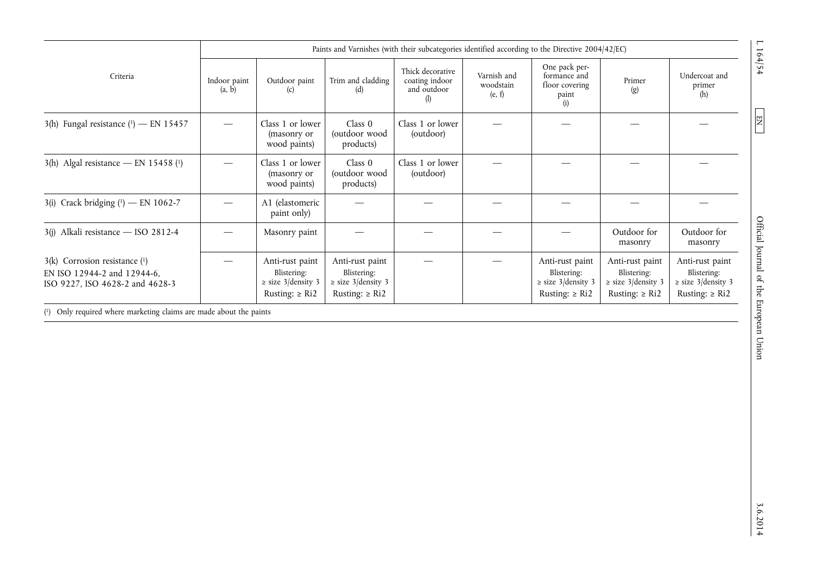|                                                                                                     | Paints and Varnishes (with their subcategories identified according to the Directive 2004/42/EC) |                                                                                 |                                                                            |                                                          |                                    |                                                                            |                                                                            |                                                                                 |
|-----------------------------------------------------------------------------------------------------|--------------------------------------------------------------------------------------------------|---------------------------------------------------------------------------------|----------------------------------------------------------------------------|----------------------------------------------------------|------------------------------------|----------------------------------------------------------------------------|----------------------------------------------------------------------------|---------------------------------------------------------------------------------|
| Criteria                                                                                            | Indoor paint<br>(a, b)                                                                           | Outdoor paint<br>(c)                                                            | Trim and cladding<br>(d)                                                   | Thick decorative<br>coating indoor<br>and outdoor<br>(I) | Varnish and<br>woodstain<br>(e, f) | One pack per-<br>formance and<br>floor covering<br>paint<br>(i)            | Primer<br>$\left( \mathbf{g} \right)$                                      | Undercoat and<br>primer<br>(h)                                                  |
| 3(h) Fungal resistance $(1)$ - EN 15457                                                             |                                                                                                  | Class 1 or lower<br>(masonry or<br>wood paints)                                 | Class 0<br>(outdoor wood<br>products)                                      | Class 1 or lower<br>(outdoor)                            |                                    |                                                                            |                                                                            |                                                                                 |
| $3(h)$ Algal resistance — EN 15458 (1)                                                              |                                                                                                  | Class 1 or lower<br>(masonry or<br>wood paints)                                 | Class 0<br>(outdoor wood<br>products)                                      | Class 1 or lower<br>(outdoor)                            |                                    |                                                                            |                                                                            |                                                                                 |
| 3(i) Crack bridging $(1)$ - EN 1062-7                                                               |                                                                                                  | A1 (elastomeric<br>paint only)                                                  |                                                                            |                                                          |                                    |                                                                            |                                                                            |                                                                                 |
| 3(j) Alkali resistance - ISO 2812-4                                                                 |                                                                                                  | Masonry paint                                                                   |                                                                            |                                                          |                                    |                                                                            | Outdoor for<br>masonry                                                     | Outdoor for<br>masonry                                                          |
| $3(k)$ Corrosion resistance $(1)$<br>EN ISO 12944-2 and 12944-6,<br>ISO 9227, ISO 4628-2 and 4628-3 |                                                                                                  | Anti-rust paint<br>Blistering:<br>$\ge$ size 3/density 3<br>Rusting: $\geq$ Ri2 | Anti-rust paint<br>Blistering:<br>$\ge$ size 3/density 3<br>Rusting: ≥ Ri2 |                                                          |                                    | Anti-rust paint<br>Blistering:<br>$\ge$ size 3/density 3<br>Rusting: ≥ Ri2 | Anti-rust paint<br>Blistering:<br>$\ge$ size 3/density 3<br>Rusting: ≥ Ri2 | Anti-rust paint<br>Blistering:<br>$\ge$ size 3/density 3<br>Rusting: $\geq$ Ri2 |

( 1) Only required where marketing claims are made about the paints

 $\sim 10\frac{1}{2}$  D  $\sim 10\frac{1}{2}$  Official Journal of the European Union EN Optical D L EN  $\sim 10\frac{1}{2}$  A  $\sim 10\frac{1}{2}$  A Official Journal of the European Union

 $3.6.2014$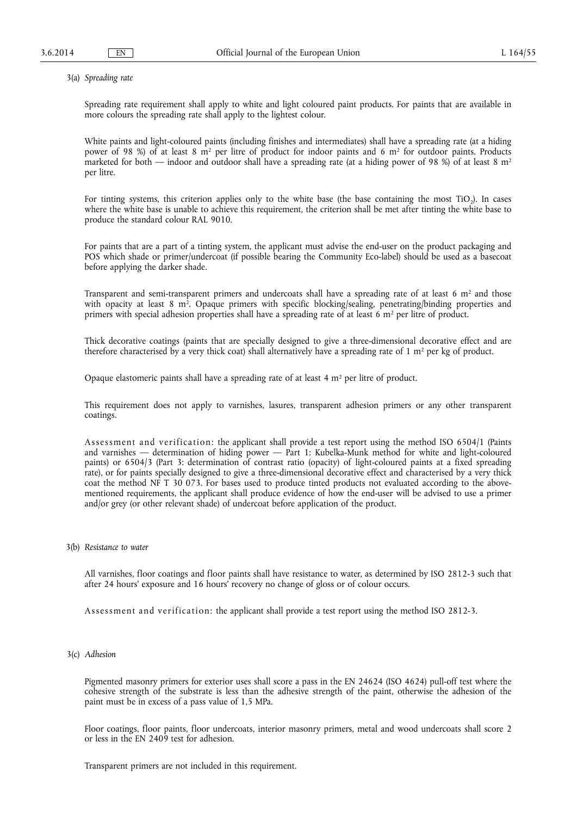3(a) *Spreading rate* 

Spreading rate requirement shall apply to white and light coloured paint products. For paints that are available in more colours the spreading rate shall apply to the lightest colour.

White paints and light-coloured paints (including finishes and intermediates) shall have a spreading rate (at a hiding power of 98 %) of at least 8 m<sup>2</sup> per litre of product for indoor paints and 6 m<sup>2</sup> for outdoor paints. Products marketed for both — indoor and outdoor shall have a spreading rate (at a hiding power of 98 %) of at least 8  $m<sup>2</sup>$ per litre.

For tinting systems, this criterion applies only to the white base (the base containing the most  $TiO<sub>2</sub>$ ). In cases where the white base is unable to achieve this requirement, the criterion shall be met after tinting the white base to produce the standard colour RAL 9010.

For paints that are a part of a tinting system, the applicant must advise the end-user on the product packaging and POS which shade or primer/undercoat (if possible bearing the Community Eco-label) should be used as a basecoat before applying the darker shade.

Transparent and semi-transparent primers and undercoats shall have a spreading rate of at least 6 m<sup>2</sup> and those with opacity at least 8 m<sup>2</sup>. Opaque primers with specific blocking/sealing, penetrating/binding properties and primers with special adhesion properties shall have a spreading rate of at least 6 m<sup>2</sup> per litre of product.

Thick decorative coatings (paints that are specially designed to give a three-dimensional decorative effect and are therefore characterised by a very thick coat) shall alternatively have a spreading rate of 1 m<sup>2</sup> per kg of product.

Opaque elastomeric paints shall have a spreading rate of at least  $4 \text{ m}^2$  per litre of product.

This requirement does not apply to varnishes, lasures, transparent adhesion primers or any other transparent coatings.

Assessment and verification: the applicant shall provide a test report using the method ISO 6504/1 (Paints and varnishes — determination of hiding power — Part 1: Kubelka-Munk method for white and light-coloured paints) or 6504/3 (Part 3: determination of contrast ratio (opacity) of light-coloured paints at a fixed spreading rate), or for paints specially designed to give a three-dimensional decorative effect and characterised by a very thick coat the method NF T 30 073. For bases used to produce tinted products not evaluated according to the abovementioned requirements, the applicant shall produce evidence of how the end-user will be advised to use a primer and/or grey (or other relevant shade) of undercoat before application of the product.

3(b) *Resistance to water* 

All varnishes, floor coatings and floor paints shall have resistance to water, as determined by ISO 2812-3 such that after 24 hours' exposure and 16 hours' recovery no change of gloss or of colour occurs.

Assessment and verification: the applicant shall provide a test report using the method ISO 2812-3.

3(c) *Adhesion* 

Pigmented masonry primers for exterior uses shall score a pass in the EN 24624 (ISO 4624) pull-off test where the cohesive strength of the substrate is less than the adhesive strength of the paint, otherwise the adhesion of the paint must be in excess of a pass value of 1,5 MPa.

Floor coatings, floor paints, floor undercoats, interior masonry primers, metal and wood undercoats shall score 2 or less in the EN 2409 test for adhesion.

Transparent primers are not included in this requirement.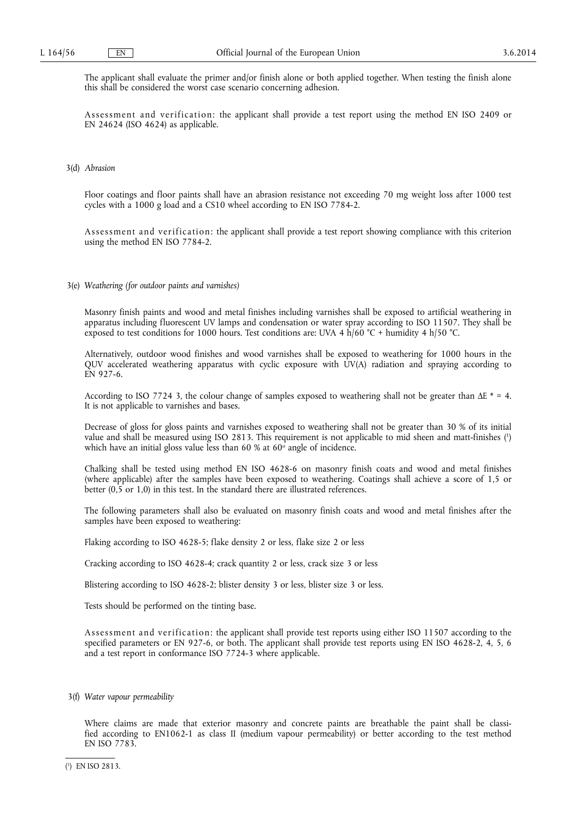The applicant shall evaluate the primer and/or finish alone or both applied together. When testing the finish alone this shall be considered the worst case scenario concerning adhesion.

Assessment and verification: the applicant shall provide a test report using the method EN ISO 2409 or EN 24624 (ISO 4624) as applicable.

#### 3(d) *Abrasion*

Floor coatings and floor paints shall have an abrasion resistance not exceeding 70 mg weight loss after 1000 test cycles with a 1000 g load and a CS10 wheel according to EN ISO 7784-2.

Assessment and verification: the applicant shall provide a test report showing compliance with this criterion using the method EN ISO 7784-2.

3(e) *Weathering (for outdoor paints and varnishes)* 

Masonry finish paints and wood and metal finishes including varnishes shall be exposed to artificial weathering in apparatus including fluorescent UV lamps and condensation or water spray according to ISO 11507. They shall be exposed to test conditions for 1000 hours. Test conditions are: UVA 4  $\hat{h}/60$  °C + humidity 4  $h/50$  °C.

Alternatively, outdoor wood finishes and wood varnishes shall be exposed to weathering for 1000 hours in the QUV accelerated weathering apparatus with cyclic exposure with UV(A) radiation and spraying according to EN 927-6.

According to ISO 7724 3, the colour change of samples exposed to weathering shall not be greater than  $\Delta E^* = 4$ . It is not applicable to varnishes and bases.

Decrease of gloss for gloss paints and varnishes exposed to weathering shall not be greater than 30 % of its initial value and shall be measured using ISO 2813. This requirement is not applicable to mid sheen and matt-finishes ( 1 ) which have an initial gloss value less than 60 % at  $60^{\circ}$  angle of incidence.

Chalking shall be tested using method EN ISO 4628-6 on masonry finish coats and wood and metal finishes (where applicable) after the samples have been exposed to weathering. Coatings shall achieve a score of 1,5 or better (0,5 or 1,0) in this test. In the standard there are illustrated references.

The following parameters shall also be evaluated on masonry finish coats and wood and metal finishes after the samples have been exposed to weathering:

Flaking according to ISO 4628-5; flake density 2 or less, flake size 2 or less

Cracking according to ISO 4628-4; crack quantity 2 or less, crack size 3 or less

Blistering according to ISO 4628-2; blister density 3 or less, blister size 3 or less.

Tests should be performed on the tinting base.

Assessment and verification: the applicant shall provide test reports using either ISO 11507 according to the specified parameters or EN 927-6, or both. The applicant shall provide test reports using EN ISO 4628-2, 4, 5, 6 and a test report in conformance ISO 7724-3 where applicable.

3(f) *Water vapour permeability* 

Where claims are made that exterior masonry and concrete paints are breathable the paint shall be classified according to EN1062-1 as class II (medium vapour permeability) or better according to the test method EN ISO 7783.

<sup>(</sup> 1 ) EN ISO 2813.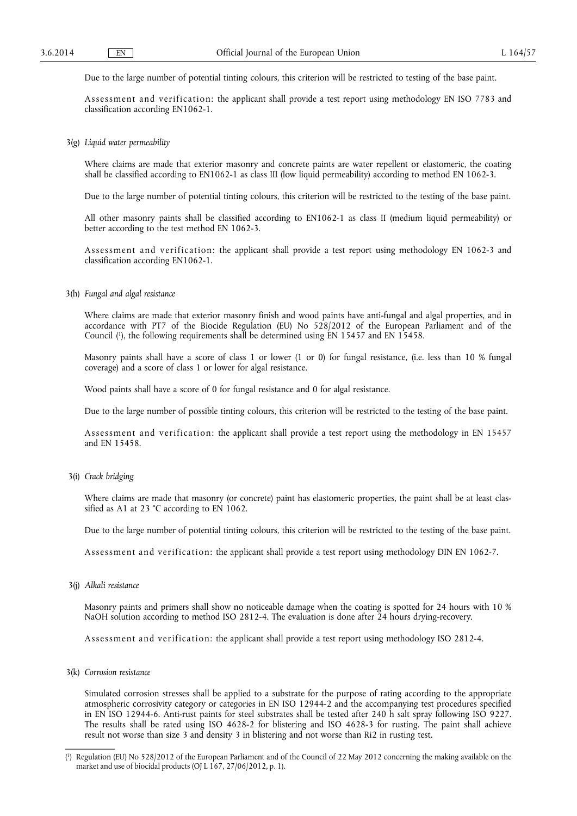Due to the large number of potential tinting colours, this criterion will be restricted to testing of the base paint.

Assessment and verification: the applicant shall provide a test report using methodology EN ISO 7783 and classification according EN1062-1.

3(g) *Liquid water permeability* 

Where claims are made that exterior masonry and concrete paints are water repellent or elastomeric, the coating shall be classified according to EN1062-1 as class III (low liquid permeability) according to method EN 1062-3.

Due to the large number of potential tinting colours, this criterion will be restricted to the testing of the base paint.

All other masonry paints shall be classified according to EN1062-1 as class II (medium liquid permeability) or better according to the test method EN 1062-3.

Assessment and verification: the applicant shall provide a test report using methodology EN 1062-3 and classification according EN1062-1.

3(h) *Fungal and algal resistance* 

Where claims are made that exterior masonry finish and wood paints have anti-fungal and algal properties, and in accordance with PT7 of the Biocide Regulation (EU) No 528/2012 of the European Parliament and of the Council ( 1 ), the following requirements shall be determined using EN 15457 and EN 15458.

Masonry paints shall have a score of class 1 or lower (1 or 0) for fungal resistance, (i.e. less than 10 % fungal coverage) and a score of class 1 or lower for algal resistance.

Wood paints shall have a score of 0 for fungal resistance and 0 for algal resistance.

Due to the large number of possible tinting colours, this criterion will be restricted to the testing of the base paint.

Assessment and verification: the applicant shall provide a test report using the methodology in EN 15457 and EN 15458.

3(i) *Crack bridging* 

Where claims are made that masonry (or concrete) paint has elastomeric properties, the paint shall be at least classified as A1 at 23 °C according to EN 1062.

Due to the large number of potential tinting colours, this criterion will be restricted to the testing of the base paint.

Assessment and verification: the applicant shall provide a test report using methodology DIN EN 1062-7.

3(j) *Alkali resistance* 

Masonry paints and primers shall show no noticeable damage when the coating is spotted for 24 hours with 10 % NaOH solution according to method ISO 2812-4. The evaluation is done after 24 hours drying-recovery.

Assessment and verification: the applicant shall provide a test report using methodology ISO 2812-4.

3(k) *Corrosion resistance* 

Simulated corrosion stresses shall be applied to a substrate for the purpose of rating according to the appropriate atmospheric corrosivity category or categories in EN ISO 12944-2 and the accompanying test procedures specified in EN ISO 12944-6. Anti-rust paints for steel substrates shall be tested after 240 h salt spray following ISO 9227. The results shall be rated using ISO 4628-2 for blistering and ISO 4628-3 for rusting. The paint shall achieve result not worse than size 3 and density 3 in blistering and not worse than Ri2 in rusting test.

<sup>(</sup> 1 ) Regulation (EU) No 528/2012 of the European Parliament and of the Council of 22 May 2012 concerning the making available on the market and use of biocidal products (OJ L 167, 27/06/2012, p. 1).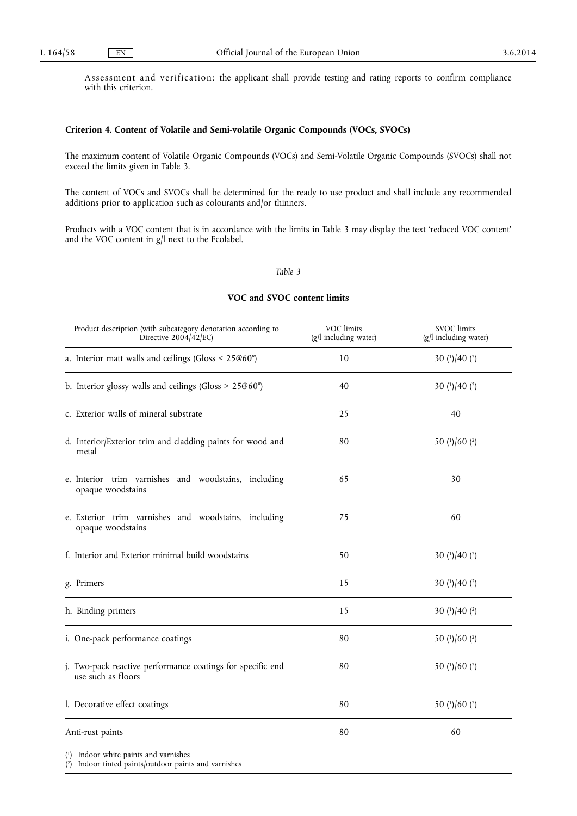Assessment and verification: the applicant shall provide testing and rating reports to confirm compliance with this criterion.

#### **Criterion 4. Content of Volatile and Semi-volatile Organic Compounds (VOCs, SVOCs)**

The maximum content of Volatile Organic Compounds (VOCs) and Semi-Volatile Organic Compounds (SVOCs) shall not exceed the limits given in Table 3.

The content of VOCs and SVOCs shall be determined for the ready to use product and shall include any recommended additions prior to application such as colourants and/or thinners.

Products with a VOC content that is in accordance with the limits in Table 3 may display the text 'reduced VOC content' and the VOC content in g/l next to the Ecolabel.

#### *Table 3*

#### **VOC and SVOC content limits**

| Product description (with subcategory denotation according to<br>Directive 2004/42/EC) | VOC limits<br>(g/l including water) | <b>SVOC</b> limits<br>$(g/l$ including water) |
|----------------------------------------------------------------------------------------|-------------------------------------|-----------------------------------------------|
| a. Interior matt walls and ceilings (Gloss < 25@60°)                                   | 10                                  | 30 $(1)/40$ $(2)$                             |
| b. Interior glossy walls and ceilings (Gloss $> 25@60^{\circ}$ )                       | 40                                  | 30 $(1)/40(2)$                                |
| c. Exterior walls of mineral substrate                                                 | 25                                  | 40                                            |
| d. Interior/Exterior trim and cladding paints for wood and<br>metal                    | 80                                  | 50 (1)/60 (2)                                 |
| e. Interior trim varnishes and woodstains, including<br>opaque woodstains              | 65                                  | 30                                            |
| e. Exterior trim varnishes and woodstains, including<br>opaque woodstains              | 75                                  | 60                                            |
| f. Interior and Exterior minimal build woodstains                                      | 50                                  | 30 $(1)/40$ $(2)$                             |
| g. Primers                                                                             | 15                                  | 30 $(1)/40(2)$                                |
| h. Binding primers                                                                     | 15                                  | 30 $(1)/40$ $(2)$                             |
| i. One-pack performance coatings                                                       | 80                                  | 50 (1)/60 (2)                                 |
| j. Two-pack reactive performance coatings for specific end<br>use such as floors       | 80                                  | 50 $(1)/60$ $(2)$                             |
| l. Decorative effect coatings                                                          | 80                                  | 50 $(1)/60$ $(2)$                             |
| Anti-rust paints                                                                       | 80                                  | 60                                            |

( 1) Indoor white paints and varnishes

( 2) Indoor tinted paints/outdoor paints and varnishes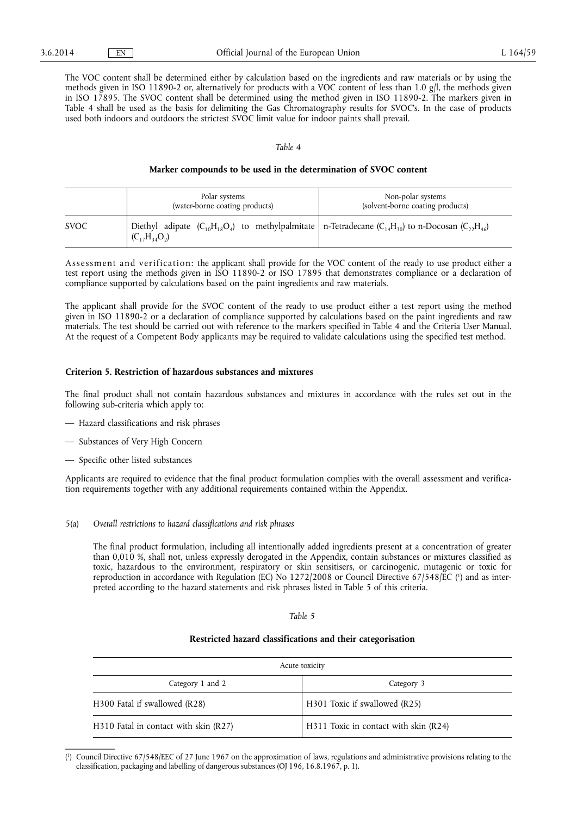The VOC content shall be determined either by calculation based on the ingredients and raw materials or by using the methods given in ISO 11890-2 or, alternatively for products with a VOC content of less than 1.0 g/l, the methods given in ISO 17895. The SVOC content shall be determined using the method given in ISO 11890-2. The markers given in Table 4 shall be used as the basis for delimiting the Gas Chromatography results for SVOC's. In the case of products used both indoors and outdoors the strictest SVOC limit value for indoor paints shall prevail.

#### *Table 4*

#### **Marker compounds to be used in the determination of SVOC content**

|             | Polar systems<br>(water-borne coating products)                                                                                              | Non-polar systems<br>(solvent-borne coating products) |  |
|-------------|----------------------------------------------------------------------------------------------------------------------------------------------|-------------------------------------------------------|--|
| <b>SVOC</b> | Diethyl adipate $(C_{10}H_{18}O_4)$ to methylpalmitate   n-Tetradecane $(C_{14}H_{30})$ to n-Docosan $(C_{22}H_{46})$<br>$(C_{17}H_{34}O_2)$ |                                                       |  |

Assessment and verification: the applicant shall provide for the VOC content of the ready to use product either a test report using the methods given in ISO 11890-2 or ISO 17895 that demonstrates compliance or a declaration of compliance supported by calculations based on the paint ingredients and raw materials.

The applicant shall provide for the SVOC content of the ready to use product either a test report using the method given in ISO 11890-2 or a declaration of compliance supported by calculations based on the paint ingredients and raw materials. The test should be carried out with reference to the markers specified in Table 4 and the Criteria User Manual. At the request of a Competent Body applicants may be required to validate calculations using the specified test method.

#### **Criterion 5. Restriction of hazardous substances and mixtures**

The final product shall not contain hazardous substances and mixtures in accordance with the rules set out in the following sub-criteria which apply to:

- Hazard classifications and risk phrases
- Substances of Very High Concern
- Specific other listed substances

Applicants are required to evidence that the final product formulation complies with the overall assessment and verification requirements together with any additional requirements contained within the Appendix.

5(a) *Overall restrictions to hazard classifications and risk phrases* 

The final product formulation, including all intentionally added ingredients present at a concentration of greater than 0,010 %, shall not, unless expressly derogated in the Appendix, contain substances or mixtures classified as toxic, hazardous to the environment, respiratory or skin sensitisers, or carcinogenic, mutagenic or toxic for reproduction in accordance with Regulation (EC) No 1272/2008 or Council Directive 67/548/EC ( 1 ) and as interpreted according to the hazard statements and risk phrases listed in Table 5 of this criteria.

#### *Table 5*

#### **Restricted hazard classifications and their categorisation**

| Acute toxicity                        |                                       |  |  |
|---------------------------------------|---------------------------------------|--|--|
| Category 1 and 2                      | Category 3                            |  |  |
| H300 Fatal if swallowed (R28)         | H301 Toxic if swallowed (R25)         |  |  |
| H310 Fatal in contact with skin (R27) | H311 Toxic in contact with skin (R24) |  |  |

<sup>(</sup> 1 ) Council Directive 67/548/EEC of 27 June 1967 on the approximation of laws, regulations and administrative provisions relating to the classification, packaging and labelling of dangerous substances (OJ 196, 16.8.1967, p. 1).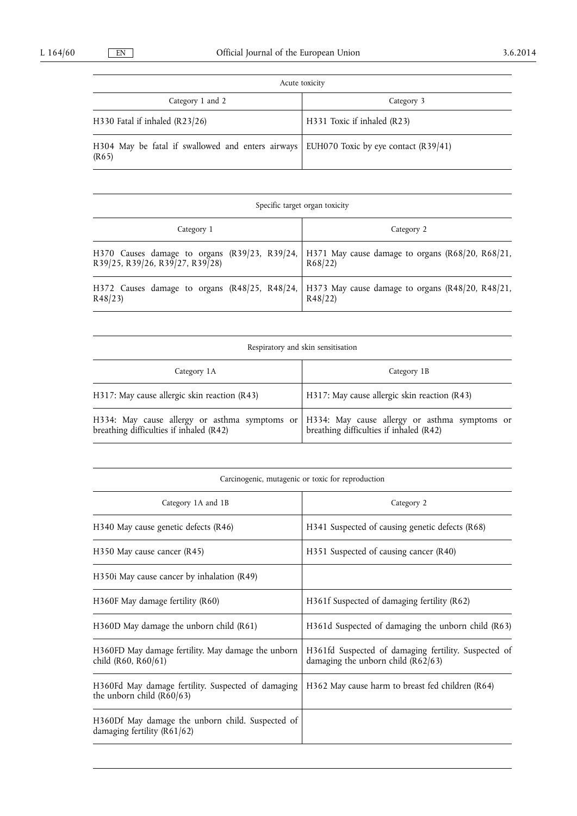| Acute toxicity                                                                                  |                             |  |  |
|-------------------------------------------------------------------------------------------------|-----------------------------|--|--|
| Category 1 and 2                                                                                | Category 3                  |  |  |
| H330 Fatal if inhaled (R23/26)                                                                  | H331 Toxic if inhaled (R23) |  |  |
| H304 May be fatal if swallowed and enters airways EUH070 Toxic by eye contact (R39/41)<br>(R65) |                             |  |  |

| Specific target organ toxicity  |                                                                                                            |  |  |  |
|---------------------------------|------------------------------------------------------------------------------------------------------------|--|--|--|
| Category 1                      | Category 2                                                                                                 |  |  |  |
| R39/25, R39/26, R39/27, R39/28) | H370 Causes damage to organs (R39/23, R39/24,   H371 May cause damage to organs (R68/20, R68/21,<br>R68/22 |  |  |  |
| R48/23                          | H372 Causes damage to organs (R48/25, R48/24, H373 May cause damage to organs (R48/20, R48/21,<br>R48/22   |  |  |  |

| Respiratory and skin sensitisation           |                                                                                                                                          |  |  |
|----------------------------------------------|------------------------------------------------------------------------------------------------------------------------------------------|--|--|
| Category 1A                                  | Category 1B                                                                                                                              |  |  |
| H317: May cause allergic skin reaction (R43) | H317: May cause allergic skin reaction (R43)                                                                                             |  |  |
| breathing difficulties if inhaled (R42)      | H334: May cause allergy or asthma symptoms or   H334: May cause allergy or asthma symptoms or<br>breathing difficulties if inhaled (R42) |  |  |

| Carcinogenic, mutagenic or toxic for reproduction                                   |                                                                                              |  |  |
|-------------------------------------------------------------------------------------|----------------------------------------------------------------------------------------------|--|--|
| Category 1A and 1B                                                                  | Category 2                                                                                   |  |  |
| H340 May cause genetic defects (R46)                                                | H341 Suspected of causing genetic defects (R68)                                              |  |  |
| $H350$ May cause cancer (R45)                                                       | H351 Suspected of causing cancer (R40)                                                       |  |  |
| H350i May cause cancer by inhalation $(R49)$                                        |                                                                                              |  |  |
| H360F May damage fertility (R60)                                                    | H361f Suspected of damaging fertility (R62)                                                  |  |  |
| H360D May damage the unborn child (R61)                                             | H361d Suspected of damaging the unborn child (R63)                                           |  |  |
| H360FD May damage fertility. May damage the unborn<br>child (R60, R60/61)           | H361fd Suspected of damaging fertility. Suspected of<br>damaging the unborn child $(R62/63)$ |  |  |
| H360Fd May damage fertility. Suspected of damaging<br>the unborn child $(R60/63)$   | H362 May cause harm to breast fed children (R64)                                             |  |  |
| H360Df May damage the unborn child. Suspected of<br>damaging fertility ( $R61/62$ ) |                                                                                              |  |  |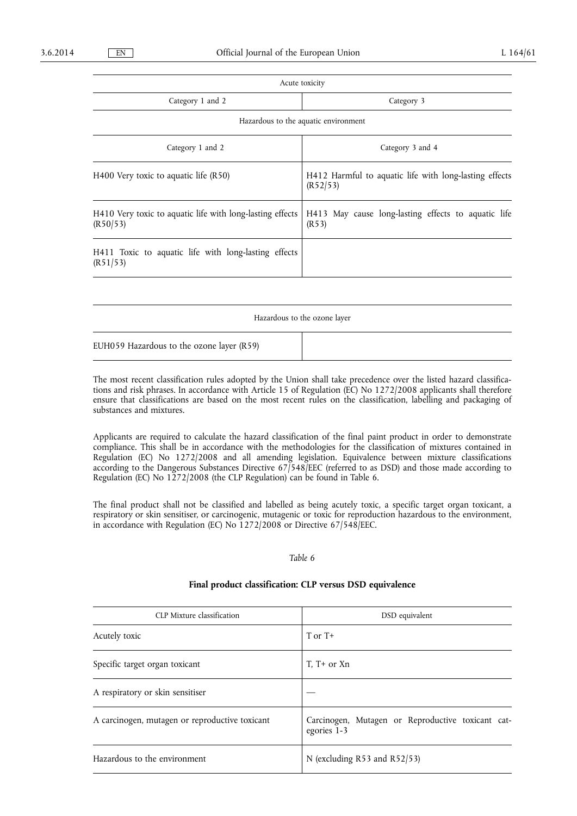Acute toxicity Category 1 and 2 Category 3 Hazardous to the aquatic environment Category 1 and 2 Category 3 and 4 H400 Very toxic to aquatic life (R50) H412 Harmful to aquatic life with long-lasting effects (R52/53) H410 Very toxic to aquatic life with long-lasting effects (R50/53) H413 May cause long-lasting effects to aquatic life (R53) H411 Toxic to aquatic life with long-lasting effects (R51/53)

Hazardous to the ozone layer

EUH059 Hazardous to the ozone layer (R59)

The most recent classification rules adopted by the Union shall take precedence over the listed hazard classifications and risk phrases. In accordance with Article 15 of Regulation (EC) No 1272/2008 applicants shall therefore ensure that classifications are based on the most recent rules on the classification, labelling and packaging of substances and mixtures.

Applicants are required to calculate the hazard classification of the final paint product in order to demonstrate compliance. This shall be in accordance with the methodologies for the classification of mixtures contained in Regulation (EC) No 1272/2008 and all amending legislation. Equivalence between mixture classifications according to the Dangerous Substances Directive 67/548/EEC (referred to as DSD) and those made according to Regulation (EC) No 1272/2008 (the CLP Regulation) can be found in Table 6.

The final product shall not be classified and labelled as being acutely toxic, a specific target organ toxicant, a respiratory or skin sensitiser, or carcinogenic, mutagenic or toxic for reproduction hazardous to the environment, in accordance with Regulation (EC) No 1272/2008 or Directive 67/548/EEC.

#### *Table 6*

#### **Final product classification: CLP versus DSD equivalence**

| CLP Mixture classification                     | DSD equivalent                                                   |  |  |  |
|------------------------------------------------|------------------------------------------------------------------|--|--|--|
| Acutely toxic                                  | $TorT+$                                                          |  |  |  |
| Specific target organ toxicant                 | $T. T+$ or $Xn$                                                  |  |  |  |
| A respiratory or skin sensitiser               |                                                                  |  |  |  |
| A carcinogen, mutagen or reproductive toxicant | Carcinogen, Mutagen or Reproductive toxicant cat-<br>egories 1-3 |  |  |  |
| Hazardous to the environment                   | N (excluding R53 and R52/53)                                     |  |  |  |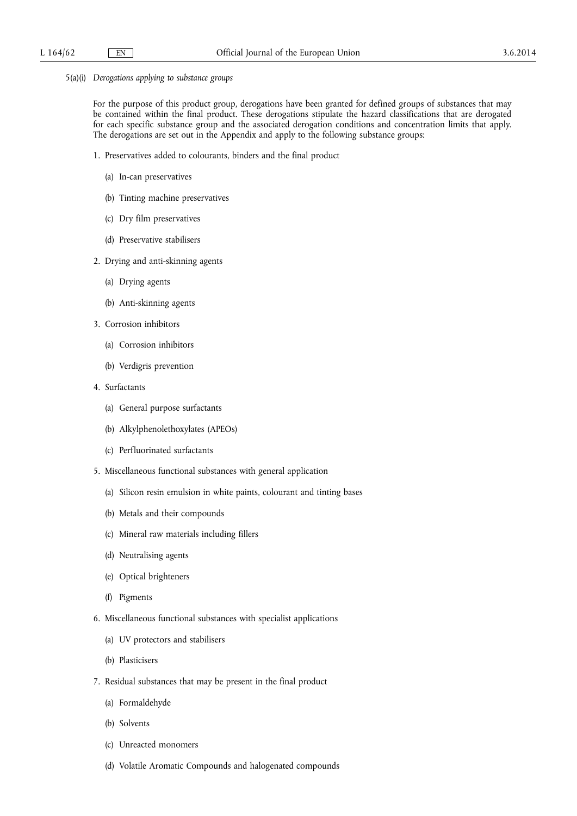5(a)(i) *Derogations applying to substance groups* 

For the purpose of this product group, derogations have been granted for defined groups of substances that may be contained within the final product. These derogations stipulate the hazard classifications that are derogated for each specific substance group and the associated derogation conditions and concentration limits that apply. The derogations are set out in the Appendix and apply to the following substance groups:

- 1. Preservatives added to colourants, binders and the final product
	- (a) In-can preservatives
	- (b) Tinting machine preservatives
	- (c) Dry film preservatives
	- (d) Preservative stabilisers
- 2. Drying and anti-skinning agents
	- (a) Drying agents
	- (b) Anti-skinning agents
- 3. Corrosion inhibitors
	- (a) Corrosion inhibitors
	- (b) Verdigris prevention
- 4. Surfactants
	- (a) General purpose surfactants
	- (b) Alkylphenolethoxylates (APEOs)
	- (c) Perfluorinated surfactants
- 5. Miscellaneous functional substances with general application
	- (a) Silicon resin emulsion in white paints, colourant and tinting bases
	- (b) Metals and their compounds
	- (c) Mineral raw materials including fillers
	- (d) Neutralising agents
	- (e) Optical brighteners
	- (f) Pigments
- 6. Miscellaneous functional substances with specialist applications
	- (a) UV protectors and stabilisers
	- (b) Plasticisers
- 7. Residual substances that may be present in the final product
	- (a) Formaldehyde
	- (b) Solvents
	- (c) Unreacted monomers
	- (d) Volatile Aromatic Compounds and halogenated compounds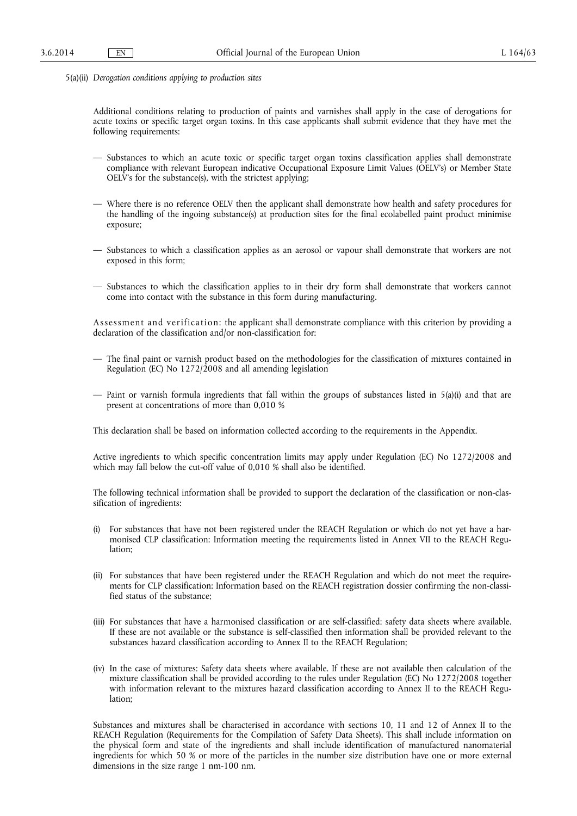5(a)(ii) *Derogation conditions applying to production sites* 

Additional conditions relating to production of paints and varnishes shall apply in the case of derogations for acute toxins or specific target organ toxins. In this case applicants shall submit evidence that they have met the following requirements:

- Substances to which an acute toxic or specific target organ toxins classification applies shall demonstrate compliance with relevant European indicative Occupational Exposure Limit Values (OELV's) or Member State OELV's for the substance(s), with the strictest applying;
- Where there is no reference OELV then the applicant shall demonstrate how health and safety procedures for the handling of the ingoing substance(s) at production sites for the final ecolabelled paint product minimise exposure;
- Substances to which a classification applies as an aerosol or vapour shall demonstrate that workers are not exposed in this form;
- Substances to which the classification applies to in their dry form shall demonstrate that workers cannot come into contact with the substance in this form during manufacturing.

Assessment and verification: the applicant shall demonstrate compliance with this criterion by providing a declaration of the classification and/or non-classification for:

- The final paint or varnish product based on the methodologies for the classification of mixtures contained in Regulation (EC) No 1272/2008 and all amending legislation
- Paint or varnish formula ingredients that fall within the groups of substances listed in 5(a)(i) and that are present at concentrations of more than 0,010 %

This declaration shall be based on information collected according to the requirements in the Appendix.

Active ingredients to which specific concentration limits may apply under Regulation (EC) No 1272/2008 and which may fall below the cut-off value of 0,010 % shall also be identified.

The following technical information shall be provided to support the declaration of the classification or non-classification of ingredients:

- (i) For substances that have not been registered under the REACH Regulation or which do not yet have a harmonised CLP classification: Information meeting the requirements listed in Annex VII to the REACH Regulation;
- (ii) For substances that have been registered under the REACH Regulation and which do not meet the requirements for CLP classification: Information based on the REACH registration dossier confirming the non-classified status of the substance;
- (iii) For substances that have a harmonised classification or are self-classified: safety data sheets where available. If these are not available or the substance is self-classified then information shall be provided relevant to the substances hazard classification according to Annex II to the REACH Regulation;
- (iv) In the case of mixtures: Safety data sheets where available. If these are not available then calculation of the mixture classification shall be provided according to the rules under Regulation (EC) No 1272/2008 together with information relevant to the mixtures hazard classification according to Annex II to the REACH Regulation;

Substances and mixtures shall be characterised in accordance with sections 10, 11 and 12 of Annex II to the REACH Regulation (Requirements for the Compilation of Safety Data Sheets). This shall include information on the physical form and state of the ingredients and shall include identification of manufactured nanomaterial ingredients for which 50 % or more of the particles in the number size distribution have one or more external dimensions in the size range 1 nm-100 nm.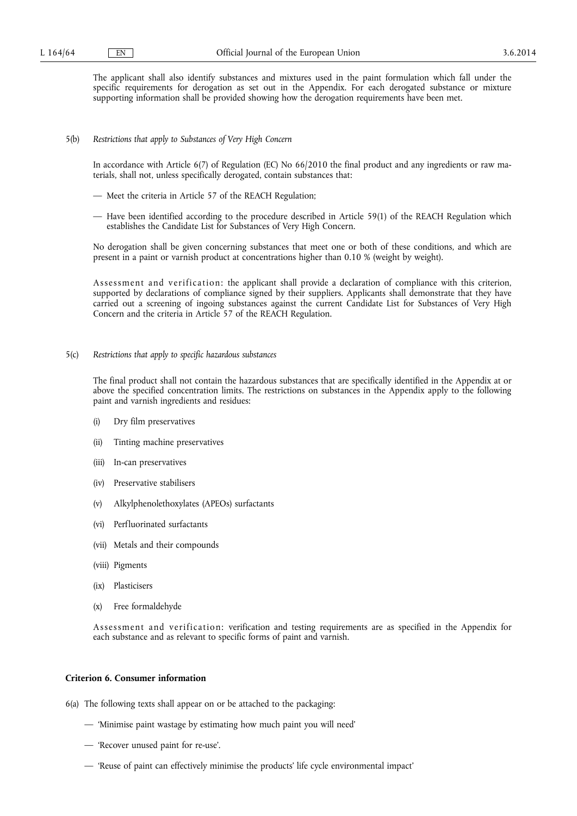The applicant shall also identify substances and mixtures used in the paint formulation which fall under the specific requirements for derogation as set out in the Appendix. For each derogated substance or mixture supporting information shall be provided showing how the derogation requirements have been met.

#### 5(b) *Restrictions that apply to Substances of Very High Concern*

In accordance with Article 6(7) of Regulation (EC) No 66/2010 the final product and any ingredients or raw materials, shall not, unless specifically derogated, contain substances that:

- Meet the criteria in Article 57 of the REACH Regulation;
- Have been identified according to the procedure described in Article 59(1) of the REACH Regulation which establishes the Candidate List for Substances of Very High Concern.

No derogation shall be given concerning substances that meet one or both of these conditions, and which are present in a paint or varnish product at concentrations higher than 0.10 % (weight by weight).

Assessment and verification: the applicant shall provide a declaration of compliance with this criterion, supported by declarations of compliance signed by their suppliers. Applicants shall demonstrate that they have carried out a screening of ingoing substances against the current Candidate List for Substances of Very High Concern and the criteria in Article 57 of the REACH Regulation.

#### 5(c) *Restrictions that apply to specific hazardous substances*

The final product shall not contain the hazardous substances that are specifically identified in the Appendix at or above the specified concentration limits. The restrictions on substances in the Appendix apply to the following paint and varnish ingredients and residues:

- (i) Dry film preservatives
- (ii) Tinting machine preservatives
- (iii) In-can preservatives
- (iv) Preservative stabilisers
- (v) Alkylphenolethoxylates (APEOs) surfactants
- (vi) Perfluorinated surfactants
- (vii) Metals and their compounds
- (viii) Pigments
- (ix) Plasticisers
- (x) Free formaldehyde

Assessment and verification: verification and testing requirements are as specified in the Appendix for each substance and as relevant to specific forms of paint and varnish.

#### **Criterion 6. Consumer information**

6(a) The following texts shall appear on or be attached to the packaging:

- 'Minimise paint wastage by estimating how much paint you will need'
- 'Recover unused paint for re-use'.
- 'Reuse of paint can effectively minimise the products' life cycle environmental impact'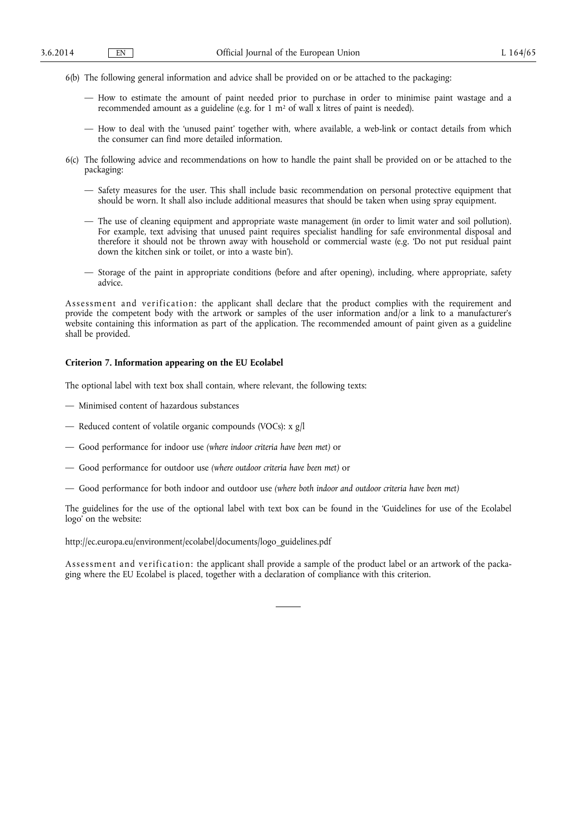- 6(b) The following general information and advice shall be provided on or be attached to the packaging:
	- How to estimate the amount of paint needed prior to purchase in order to minimise paint wastage and a recommended amount as a guideline (e.g. for 1  $m<sup>2</sup>$  of wall x litres of paint is needed).
	- How to deal with the 'unused paint' together with, where available, a web-link or contact details from which the consumer can find more detailed information.
- 6(c) The following advice and recommendations on how to handle the paint shall be provided on or be attached to the packaging:
	- Safety measures for the user. This shall include basic recommendation on personal protective equipment that should be worn. It shall also include additional measures that should be taken when using spray equipment.
	- The use of cleaning equipment and appropriate waste management (in order to limit water and soil pollution). For example, text advising that unused paint requires specialist handling for safe environmental disposal and therefore it should not be thrown away with household or commercial waste (e.g. 'Do not put residual paint down the kitchen sink or toilet, or into a waste bin').
	- Storage of the paint in appropriate conditions (before and after opening), including, where appropriate, safety advice.

Assessment and verification: the applicant shall declare that the product complies with the requirement and provide the competent body with the artwork or samples of the user information and/or a link to a manufacturer's website containing this information as part of the application. The recommended amount of paint given as a guideline shall be provided.

#### **Criterion 7. Information appearing on the EU Ecolabel**

The optional label with text box shall contain, where relevant, the following texts:

- Minimised content of hazardous substances
- Reduced content of volatile organic compounds (VOCs): x g/l
- Good performance for indoor use *(where indoor criteria have been met)* or
- Good performance for outdoor use *(where outdoor criteria have been met)* or
- Good performance for both indoor and outdoor use *(where both indoor and outdoor criteria have been met)*

The guidelines for the use of the optional label with text box can be found in the 'Guidelines for use of the Ecolabel logo' on the website:

[http://ec.europa.eu/environment/ecolabel/documents/logo\\_guidelines.pdf](http://ec.europa.eu/environment/ecolabel/documents/logo_guidelines.pdf) 

Assessment and verification: the applicant shall provide a sample of the product label or an artwork of the packaging where the EU Ecolabel is placed, together with a declaration of compliance with this criterion.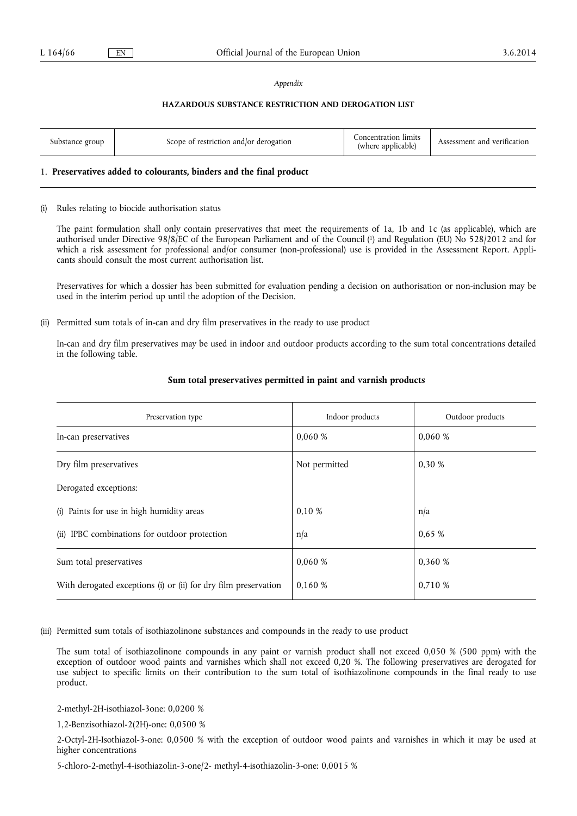#### *Appendix*

#### **HAZARDOUS SUBSTANCE RESTRICTION AND DEROGATION LIST**

| Substance group | Scope of restriction and/or derogation | _oncentration limits<br>(where applicable) | Assessment and verification |
|-----------------|----------------------------------------|--------------------------------------------|-----------------------------|
|-----------------|----------------------------------------|--------------------------------------------|-----------------------------|

#### 1. **Preservatives added to colourants, binders and the final product**

#### (i) Rules relating to biocide authorisation status

The paint formulation shall only contain preservatives that meet the requirements of 1a, 1b and 1c (as applicable), which are authorised under Directive 98/8/EC of the European Parliament and of the Council ( 1) and Regulation (EU) No 528/2012 and for which a risk assessment for professional and/or consumer (non-professional) use is provided in the Assessment Report. Applicants should consult the most current authorisation list.

Preservatives for which a dossier has been submitted for evaluation pending a decision on authorisation or non-inclusion may be used in the interim period up until the adoption of the Decision.

(ii) Permitted sum totals of in-can and dry film preservatives in the ready to use product

In-can and dry film preservatives may be used in indoor and outdoor products according to the sum total concentrations detailed in the following table.

| Preservation type                                               | Indoor products | Outdoor products |
|-----------------------------------------------------------------|-----------------|------------------|
| In-can preservatives                                            | 0,060 %         | 0,060%           |
| Dry film preservatives                                          | Not permitted   | 0,30%            |
| Derogated exceptions:                                           |                 |                  |
| (i) Paints for use in high humidity areas                       | 0,10%           | n/a              |
| (ii) IPBC combinations for outdoor protection                   | n/a             | 0,65%            |
| Sum total preservatives                                         | 0,060 %         | 0,360 %          |
| With derogated exceptions (i) or (ii) for dry film preservation | 0.160 %         | 0,710 %          |

#### **Sum total preservatives permitted in paint and varnish products**

(iii) Permitted sum totals of isothiazolinone substances and compounds in the ready to use product

The sum total of isothiazolinone compounds in any paint or varnish product shall not exceed 0,050 % (500 ppm) with the exception of outdoor wood paints and varnishes which shall not exceed 0,20 %. The following preservatives are derogated for use subject to specific limits on their contribution to the sum total of isothiazolinone compounds in the final ready to use product.

2-methyl-2H-isothiazol-3one: 0,0200 %

1,2-Benzisothiazol-2(2H)-one: 0,0500 %

2-Octyl-2H-Isothiazol-3-one: 0,0500 % with the exception of outdoor wood paints and varnishes in which it may be used at higher concentrations

5-chloro-2-methyl-4-isothiazolin-3-one/2- methyl-4-isothiazolin-3-one: 0,0015 %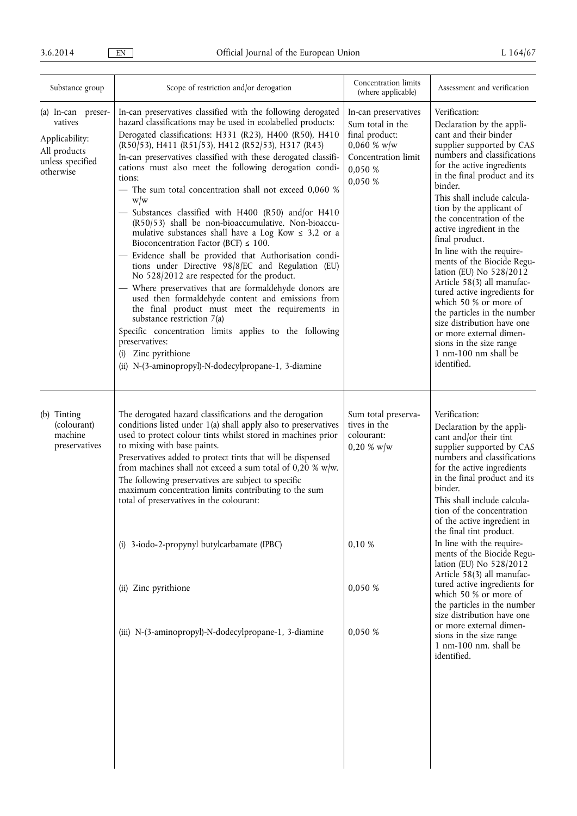| Substance group                                                                                  | Scope of restriction and/or derogation                                                                                                                                                                                                                                                                                                                                                                                                                                                                                                                                                                                                                                                                                                                                                                                                                                                                                                                                                                                                                                                                                                                                                                 | Concentration limits<br>(where applicable)                                                                                | Assessment and verification                                                                                                                                                                                                                                                                                                                                                                                                                                                                                                                                                                                                                                                          |
|--------------------------------------------------------------------------------------------------|--------------------------------------------------------------------------------------------------------------------------------------------------------------------------------------------------------------------------------------------------------------------------------------------------------------------------------------------------------------------------------------------------------------------------------------------------------------------------------------------------------------------------------------------------------------------------------------------------------------------------------------------------------------------------------------------------------------------------------------------------------------------------------------------------------------------------------------------------------------------------------------------------------------------------------------------------------------------------------------------------------------------------------------------------------------------------------------------------------------------------------------------------------------------------------------------------------|---------------------------------------------------------------------------------------------------------------------------|--------------------------------------------------------------------------------------------------------------------------------------------------------------------------------------------------------------------------------------------------------------------------------------------------------------------------------------------------------------------------------------------------------------------------------------------------------------------------------------------------------------------------------------------------------------------------------------------------------------------------------------------------------------------------------------|
| (a) In-can preser-<br>vatives<br>Applicability:<br>All products<br>unless specified<br>otherwise | In-can preservatives classified with the following derogated<br>hazard classifications may be used in ecolabelled products:<br>Derogated classifications: H331 (R23), H400 (R50), H410<br>(R50/53), H411 (R51/53), H412 (R52/53), H317 (R43)<br>In-can preservatives classified with these derogated classifi-<br>cations must also meet the following derogation condi-<br>tions:<br>- The sum total concentration shall not exceed 0,060 %<br>w/w<br>- Substances classified with H400 (R50) and/or H410<br>(R50/53) shall be non-bioaccumulative. Non-bioaccu-<br>mulative substances shall have a Log Kow $\leq$ 3,2 or a<br>Bioconcentration Factor (BCF) $\leq 100$ .<br>- Evidence shall be provided that Authorisation condi-<br>tions under Directive 98/8/EC and Regulation (EU)<br>No 528/2012 are respected for the product.<br>- Where preservatives that are formaldehyde donors are<br>used then formaldehyde content and emissions from<br>the final product must meet the requirements in<br>substance restriction 7(a)<br>Specific concentration limits applies to the following<br>preservatives:<br>Zinc pyrithione<br>(i)<br>(ii) N-(3-aminopropyl)-N-dodecylpropane-1, 3-diamine | In-can preservatives<br>Sum total in the<br>final product:<br>$0,060 \%$ w/w<br>Concentration limit<br>0,050 %<br>0,050 % | Verification:<br>Declaration by the appli-<br>cant and their binder<br>supplier supported by CAS<br>numbers and classifications<br>for the active ingredients<br>in the final product and its<br>binder.<br>This shall include calcula-<br>tion by the applicant of<br>the concentration of the<br>active ingredient in the<br>final product.<br>In line with the require-<br>ments of the Biocide Regu-<br>lation (EU) No 528/2012<br>Article 58(3) all manufac-<br>tured active ingredients for<br>which 50 % or more of<br>the particles in the number<br>size distribution have one<br>or more external dimen-<br>sions in the size range<br>1 nm-100 nm shall be<br>identified. |
| (b) Tinting<br>(colourant)<br>machine<br>preservatives                                           | The derogated hazard classifications and the derogation<br>conditions listed under $1(a)$ shall apply also to preservatives<br>used to protect colour tints whilst stored in machines prior<br>to mixing with base paints.<br>Preservatives added to protect tints that will be dispensed<br>from machines shall not exceed a sum total of 0,20 % w/w.<br>The following preservatives are subject to specific<br>maximum concentration limits contributing to the sum<br>total of preservatives in the colourant:<br>(i) 3-iodo-2-propynyl butylcarbamate (IPBC)<br>(ii) Zinc pyrithione<br>(iii) N-(3-aminopropyl)-N-dodecylpropane-1, 3-diamine                                                                                                                                                                                                                                                                                                                                                                                                                                                                                                                                                      | Sum total preserva-<br>tives in the<br>colourant:<br>$0,20 \%$ w/w<br>0,10 %<br>0,050 %<br>0,050 %                        | Verification:<br>Declaration by the appli-<br>cant and/or their tint<br>supplier supported by CAS<br>numbers and classifications<br>for the active ingredients<br>in the final product and its<br>binder.<br>This shall include calcula-<br>tion of the concentration<br>of the active ingredient in<br>the final tint product.<br>In line with the require-<br>ments of the Biocide Regu-<br>lation (EU) No 528/2012<br>Article 58(3) all manufac-<br>tured active ingredients for<br>which 50 % or more of<br>the particles in the number<br>size distribution have one<br>or more external dimen-<br>sions in the size range<br>1 nm-100 nm. shall be<br>identified.              |
|                                                                                                  |                                                                                                                                                                                                                                                                                                                                                                                                                                                                                                                                                                                                                                                                                                                                                                                                                                                                                                                                                                                                                                                                                                                                                                                                        |                                                                                                                           |                                                                                                                                                                                                                                                                                                                                                                                                                                                                                                                                                                                                                                                                                      |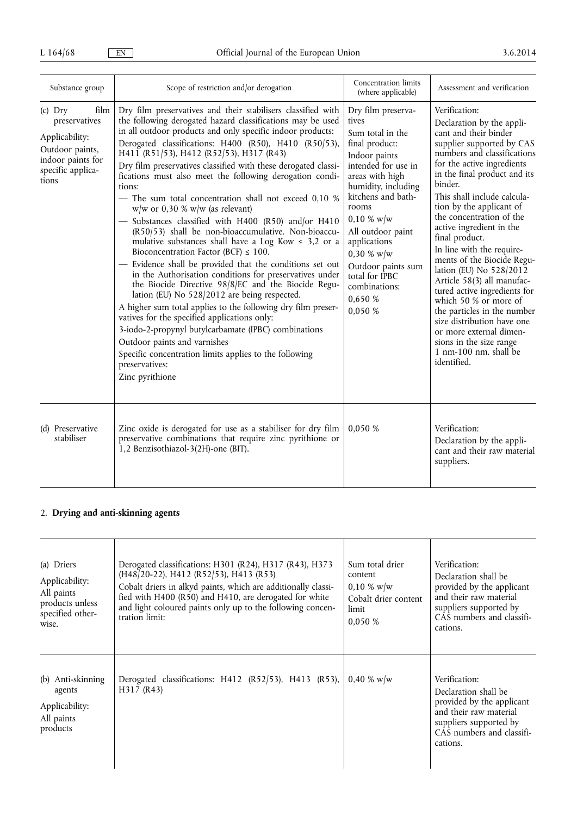| Substance group                                                                                                            | Scope of restriction and/or derogation                                                                                                                                                                                                                                                                                                                                                                                                                                                                                                                                                                                                                                                                                                                                                                                                                                                                                                                                                                                                                                                                                                                                                                                                                                                             | Concentration limits<br>(where applicable)                                                                                                                                                                                                                                                                                               | Assessment and verification                                                                                                                                                                                                                                                                                                                                                                                                                                                                                                                                                                                                                                                           |
|----------------------------------------------------------------------------------------------------------------------------|----------------------------------------------------------------------------------------------------------------------------------------------------------------------------------------------------------------------------------------------------------------------------------------------------------------------------------------------------------------------------------------------------------------------------------------------------------------------------------------------------------------------------------------------------------------------------------------------------------------------------------------------------------------------------------------------------------------------------------------------------------------------------------------------------------------------------------------------------------------------------------------------------------------------------------------------------------------------------------------------------------------------------------------------------------------------------------------------------------------------------------------------------------------------------------------------------------------------------------------------------------------------------------------------------|------------------------------------------------------------------------------------------------------------------------------------------------------------------------------------------------------------------------------------------------------------------------------------------------------------------------------------------|---------------------------------------------------------------------------------------------------------------------------------------------------------------------------------------------------------------------------------------------------------------------------------------------------------------------------------------------------------------------------------------------------------------------------------------------------------------------------------------------------------------------------------------------------------------------------------------------------------------------------------------------------------------------------------------|
| $(c)$ Dry<br>film<br>preservatives<br>Applicability:<br>Outdoor paints,<br>indoor paints for<br>specific applica-<br>tions | Dry film preservatives and their stabilisers classified with<br>the following derogated hazard classifications may be used<br>in all outdoor products and only specific indoor products:<br>Derogated classifications: H400 (R50), H410 (R50/53),<br>H411 (R51/53), H412 (R52/53), H317 (R43)<br>Dry film preservatives classified with these derogated classi-<br>fications must also meet the following derogation condi-<br>tions:<br>- The sum total concentration shall not exceed 0,10 %<br>$w/w$ or 0,30 % $w/w$ (as relevant)<br>- Substances classified with H400 (R50) and/or H410<br>(R50/53) shall be non-bioaccumulative. Non-bioaccu-<br>mulative substances shall have a Log Kow $\leq 3.2$ or a<br>Bioconcentration Factor (BCF) $\leq 100$ .<br>- Evidence shall be provided that the conditions set out<br>in the Authorisation conditions for preservatives under<br>the Biocide Directive 98/8/EC and the Biocide Regu-<br>lation (EU) No 528/2012 are being respected.<br>A higher sum total applies to the following dry film preser-<br>vatives for the specified applications only:<br>3-iodo-2-propynyl butylcarbamate (IPBC) combinations<br>Outdoor paints and varnishes<br>Specific concentration limits applies to the following<br>preservatives:<br>Zinc pyrithione | Dry film preserva-<br>tives<br>Sum total in the<br>final product:<br>Indoor paints<br>intended for use in<br>areas with high<br>humidity, including<br>kitchens and bath-<br>rooms<br>$0,10 \%$ w/w<br>All outdoor paint<br>applications<br>$0,30 \%$ w/w<br>Outdoor paints sum<br>total for IPBC<br>combinations:<br>0.650 %<br>0,050 % | Verification:<br>Declaration by the appli-<br>cant and their binder<br>supplier supported by CAS<br>numbers and classifications<br>for the active ingredients<br>in the final product and its<br>binder.<br>This shall include calcula-<br>tion by the applicant of<br>the concentration of the<br>active ingredient in the<br>final product.<br>In line with the require-<br>ments of the Biocide Regu-<br>lation (EU) No 528/2012<br>Article 58(3) all manufac-<br>tured active ingredients for<br>which 50 % or more of<br>the particles in the number<br>size distribution have one<br>or more external dimen-<br>sions in the size range<br>1 nm-100 nm, shall be<br>identified. |
| (d) Preservative<br>stabiliser                                                                                             | Zinc oxide is derogated for use as a stabiliser for dry film<br>preservative combinations that require zinc pyrithione or<br>1,2 Benzisothiazol-3(2H)-one (BIT).                                                                                                                                                                                                                                                                                                                                                                                                                                                                                                                                                                                                                                                                                                                                                                                                                                                                                                                                                                                                                                                                                                                                   | 0,050 %                                                                                                                                                                                                                                                                                                                                  | Verification:<br>Declaration by the appli-<br>cant and their raw material<br>suppliers.                                                                                                                                                                                                                                                                                                                                                                                                                                                                                                                                                                                               |

# 2. **Drying and anti-skinning agents**

| (a) Driers<br>Applicability:<br>All paints<br>products unless<br>specified other-<br>wise. | Derogated classifications: H301 (R24), H317 (R43), H373<br>(H48/20-22), H412 (R52/53), H413 (R53)<br>Cobalt driers in alkyd paints, which are additionally classi-<br>fied with H400 (R50) and H410, are derogated for white<br>and light coloured paints only up to the following concen-<br>tration limit: | Sum total drier<br>content<br>$0,10 \% \text{ w/w}$<br>Cobalt drier content<br>limit<br>0.050 % | Verification:<br>Declaration shall be<br>provided by the applicant<br>and their raw material<br>suppliers supported by<br>CAS numbers and classifi-<br>cations. |
|--------------------------------------------------------------------------------------------|--------------------------------------------------------------------------------------------------------------------------------------------------------------------------------------------------------------------------------------------------------------------------------------------------------------|-------------------------------------------------------------------------------------------------|-----------------------------------------------------------------------------------------------------------------------------------------------------------------|
| (b) Anti-skinning<br>agents<br>Applicability:<br>All paints<br>products                    | Derogated classifications: H412 (R52/53), H413 (R53),<br>H317 (R43)                                                                                                                                                                                                                                          | $0.40 \%$ w/w                                                                                   | Verification:<br>Declaration shall be<br>provided by the applicant<br>and their raw material<br>suppliers supported by<br>CAS numbers and classifi-<br>cations. |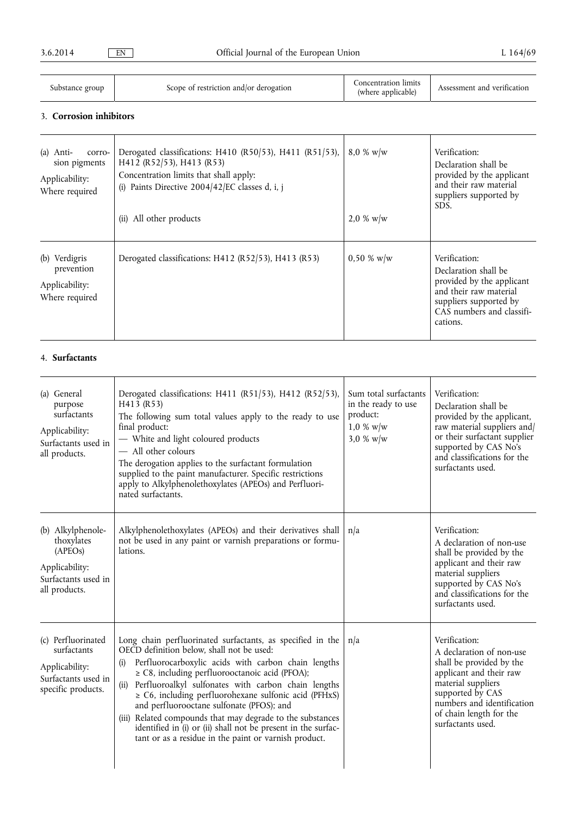| Substance group | Scope of restriction and/or derogation | oncentration limits<br>(where applicable) | Assessment and verification |
|-----------------|----------------------------------------|-------------------------------------------|-----------------------------|
|-----------------|----------------------------------------|-------------------------------------------|-----------------------------|

## 3. **Corrosion inhibitors**

| $(a)$ Anti-<br>corro-<br>sion pigments<br>Applicability:<br>Where required | Derogated classifications: H410 (R50/53), H411 (R51/53),<br>H412 (R52/53), H413 (R53)<br>Concentration limits that shall apply:<br>(i) Paints Directive 2004/42/EC classes d, i, j<br>All other products<br>(ii) | $8.0 \% \text{ w/w}$<br>$2.0 \% \text{ w/w}$ | Verification:<br>Declaration shall be<br>provided by the applicant<br>and their raw material<br>suppliers supported by<br>SDS.                                  |
|----------------------------------------------------------------------------|------------------------------------------------------------------------------------------------------------------------------------------------------------------------------------------------------------------|----------------------------------------------|-----------------------------------------------------------------------------------------------------------------------------------------------------------------|
| (b) Verdigris<br>prevention<br>Applicability:<br>Where required            | Derogated classifications: H412 (R52/53), H413 (R53)                                                                                                                                                             | $0,50 \% \text{ w/w}$                        | Verification:<br>Declaration shall be<br>provided by the applicant<br>and their raw material<br>suppliers supported by<br>CAS numbers and classifi-<br>cations. |

## 4. **Surfactants**

| (a) General<br>purpose<br>surfactants<br>Applicability:<br>Surfactants used in<br>all products.      | Derogated classifications: H411 (R51/53), H412 (R52/53),<br>H413 (R53)<br>The following sum total values apply to the ready to use<br>final product:<br>- White and light coloured products<br>- All other colours<br>The derogation applies to the surfactant formulation<br>supplied to the paint manufacturer. Specific restrictions<br>apply to Alkylphenolethoxylates (APEOs) and Perfluori-<br>nated surfactants.                                                                                                                                                                        | Sum total surfactants<br>in the ready to use<br>product:<br>$1,0 \%$ w/w<br>3,0 % w/w | Verification:<br>Declaration shall be<br>provided by the applicant,<br>raw material suppliers and/<br>or their surfactant supplier<br>supported by CAS No's<br>and classifications for the<br>surfactants used.          |
|------------------------------------------------------------------------------------------------------|------------------------------------------------------------------------------------------------------------------------------------------------------------------------------------------------------------------------------------------------------------------------------------------------------------------------------------------------------------------------------------------------------------------------------------------------------------------------------------------------------------------------------------------------------------------------------------------------|---------------------------------------------------------------------------------------|--------------------------------------------------------------------------------------------------------------------------------------------------------------------------------------------------------------------------|
| (b) Alkylphenole-<br>thoxylates<br>(APEOs)<br>Applicability:<br>Surfactants used in<br>all products. | Alkylphenolethoxylates (APEOs) and their derivatives shall<br>not be used in any paint or varnish preparations or formu-<br>lations.                                                                                                                                                                                                                                                                                                                                                                                                                                                           | n/a                                                                                   | Verification:<br>A declaration of non-use<br>shall be provided by the<br>applicant and their raw<br>material suppliers<br>supported by CAS No's<br>and classifications for the<br>surfactants used.                      |
| (c) Perfluorinated<br>surfactants<br>Applicability:<br>Surfactants used in<br>specific products.     | Long chain perfluorinated surfactants, as specified in the<br>OECD definition below, shall not be used:<br>Perfluorocarboxylic acids with carbon chain lengths<br>(i)<br>$\geq$ C8, including perfluorooctanoic acid (PFOA);<br>Perfluoroalkyl sulfonates with carbon chain lengths<br>(ii)<br>$\geq$ C6, including perfluorohexane sulfonic acid (PFHxS)<br>and perfluorooctane sulfonate (PFOS); and<br>(iii) Related compounds that may degrade to the substances<br>identified in (i) or (ii) shall not be present in the surfac-<br>tant or as a residue in the paint or varnish product. | n/a                                                                                   | Verification:<br>A declaration of non-use<br>shall be provided by the<br>applicant and their raw<br>material suppliers<br>supported by CAS<br>numbers and identification<br>of chain length for the<br>surfactants used. |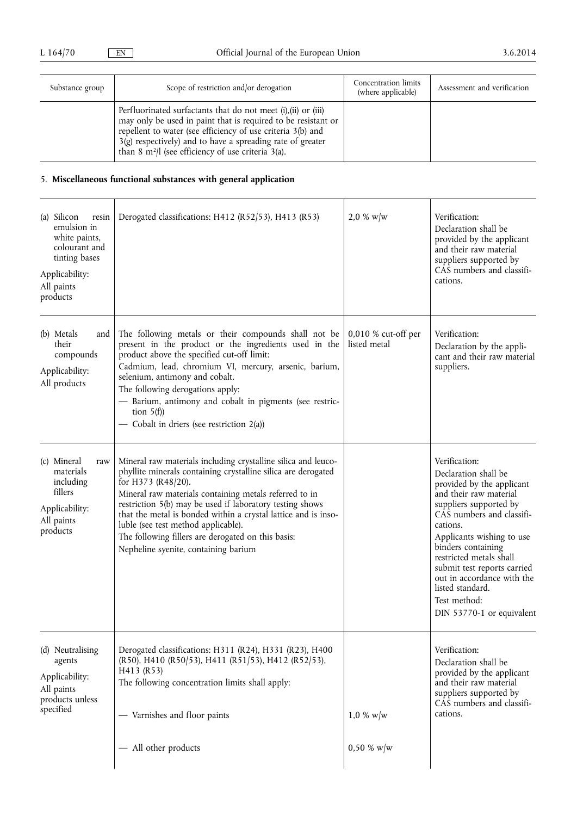| Substance group | Scope of restriction and/or derogation                                                                                                                                                                                                                                                                                            | Concentration limits<br>(where applicable) | Assessment and verification |
|-----------------|-----------------------------------------------------------------------------------------------------------------------------------------------------------------------------------------------------------------------------------------------------------------------------------------------------------------------------------|--------------------------------------------|-----------------------------|
|                 | Perfluorinated surfactants that do not meet (i), (ii) or (iii)<br>may only be used in paint that is required to be resistant or<br>repellent to water (see efficiency of use criteria 3(b) and<br>$3$ (g) respectively) and to have a spreading rate of greater<br>than 8 m <sup>2</sup> /l (see efficiency of use criteria 3(a). |                                            |                             |

## 5. **Miscellaneous functional substances with general application**

| (a) Silicon<br>resin<br>emulsion in<br>white paints,<br>colourant and<br>tinting bases<br>Applicability:<br>All paints<br>products | Derogated classifications: H412 (R52/53), H413 (R53)                                                                                                                                                                                                                                                                                                                                                                                                                              | $2.0 %$ w/w                         | Verification:<br>Declaration shall be<br>provided by the applicant<br>and their raw material<br>suppliers supported by<br>CAS numbers and classifi-<br>cations.                                                                                                                                                                                                             |
|------------------------------------------------------------------------------------------------------------------------------------|-----------------------------------------------------------------------------------------------------------------------------------------------------------------------------------------------------------------------------------------------------------------------------------------------------------------------------------------------------------------------------------------------------------------------------------------------------------------------------------|-------------------------------------|-----------------------------------------------------------------------------------------------------------------------------------------------------------------------------------------------------------------------------------------------------------------------------------------------------------------------------------------------------------------------------|
| (b) Metals<br>and<br>their<br>compounds<br>Applicability:<br>All products                                                          | The following metals or their compounds shall not be<br>present in the product or the ingredients used in the<br>product above the specified cut-off limit:<br>Cadmium, lead, chromium VI, mercury, arsenic, barium,<br>selenium, antimony and cobalt.<br>The following derogations apply:<br>- Barium, antimony and cobalt in pigments (see restric-<br>tion $5(f)$<br>- Cobalt in driers (see restriction 2(a))                                                                 | 0,010 % cut-off per<br>listed metal | Verification:<br>Declaration by the appli-<br>cant and their raw material<br>suppliers.                                                                                                                                                                                                                                                                                     |
| (c) Mineral<br>raw<br>materials<br>including<br>fillers<br>Applicability:<br>All paints<br>products                                | Mineral raw materials including crystalline silica and leuco-<br>phyllite minerals containing crystalline silica are derogated<br>for H373 (R48/20).<br>Mineral raw materials containing metals referred to in<br>restriction 5(b) may be used if laboratory testing shows<br>that the metal is bonded within a crystal lattice and is inso-<br>luble (see test method applicable).<br>The following fillers are derogated on this basis:<br>Nepheline syenite, containing barium |                                     | Verification:<br>Declaration shall be<br>provided by the applicant<br>and their raw material<br>suppliers supported by<br>CAS numbers and classifi-<br>cations.<br>Applicants wishing to use<br>binders containing<br>restricted metals shall<br>submit test reports carried<br>out in accordance with the<br>listed standard.<br>Test method:<br>DIN 53770-1 or equivalent |
| (d) Neutralising<br>agents<br>Applicability:<br>All paints<br>products unless<br>specified                                         | Derogated classifications: H311 (R24), H331 (R23), H400<br>(R50), H410 (R50/53), H411 (R51/53), H412 (R52/53),<br>H413 (R53)<br>The following concentration limits shall apply:<br>- Varnishes and floor paints                                                                                                                                                                                                                                                                   | $1.0 \%$ w/w                        | Verification:<br>Declaration shall be<br>provided by the applicant<br>and their raw material<br>suppliers supported by<br>CAS numbers and classifi-<br>cations.                                                                                                                                                                                                             |
|                                                                                                                                    | - All other products                                                                                                                                                                                                                                                                                                                                                                                                                                                              | $0,50 \%$ w/w                       |                                                                                                                                                                                                                                                                                                                                                                             |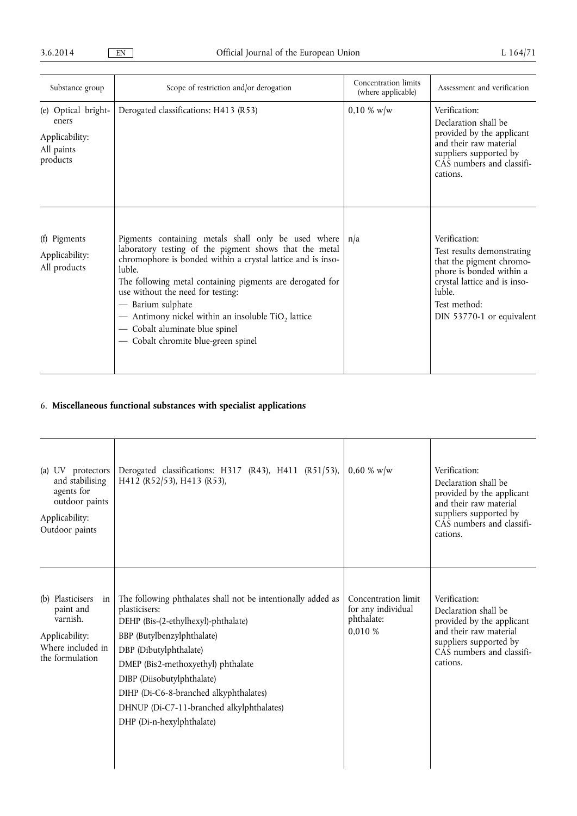| Substance group                                                          | Scope of restriction and/or derogation                                                                                                                                                                                                                                                                                                                                                                                                                         | Concentration limits<br>(where applicable) | Assessment and verification                                                                                                                                                                |
|--------------------------------------------------------------------------|----------------------------------------------------------------------------------------------------------------------------------------------------------------------------------------------------------------------------------------------------------------------------------------------------------------------------------------------------------------------------------------------------------------------------------------------------------------|--------------------------------------------|--------------------------------------------------------------------------------------------------------------------------------------------------------------------------------------------|
| (e) Optical bright-<br>eners<br>Applicability:<br>All paints<br>products | Derogated classifications: H413 (R53)                                                                                                                                                                                                                                                                                                                                                                                                                          | $0,10 \% \text{ w/w}$                      | Verification:<br>Declaration shall be<br>provided by the applicant<br>and their raw material<br>suppliers supported by<br>CAS numbers and classifi-<br>cations.                            |
| (f) Pigments<br>Applicability:<br>All products                           | Pigments containing metals shall only be used where $n/a$<br>laboratory testing of the pigment shows that the metal<br>chromophore is bonded within a crystal lattice and is inso-<br>luble.<br>The following metal containing pigments are derogated for<br>use without the need for testing:<br>— Barium sulphate<br>- Antimony nickel within an insoluble TiO <sub>2</sub> lattice<br>- Cobalt aluminate blue spinel<br>- Cobalt chromite blue-green spinel |                                            | Verification:<br>Test results demonstrating<br>that the pigment chromo-<br>phore is bonded within a<br>crystal lattice and is inso-<br>luble.<br>Test method:<br>DIN 53770-1 or equivalent |

## 6. **Miscellaneous functional substances with specialist applications**

| (a) UV protectors<br>and stabilising<br>agents for<br>outdoor paints<br>Applicability:<br>Outdoor paints  | Derogated classifications: H317 (R43), H411 (R51/53),<br>H412 (R52/53), H413 (R53),                                                                                                                                                                                                                                                                                  | $0.60 \%$ w/w                                                      | Verification:<br>Declaration shall be<br>provided by the applicant<br>and their raw material<br>suppliers supported by<br>CAS numbers and classifi-<br>cations. |
|-----------------------------------------------------------------------------------------------------------|----------------------------------------------------------------------------------------------------------------------------------------------------------------------------------------------------------------------------------------------------------------------------------------------------------------------------------------------------------------------|--------------------------------------------------------------------|-----------------------------------------------------------------------------------------------------------------------------------------------------------------|
| (b) Plasticisers<br>in<br>paint and<br>varnish.<br>Applicability:<br>Where included in<br>the formulation | The following phthalates shall not be intentionally added as<br>plasticisers:<br>DEHP (Bis-(2-ethylhexyl)-phthalate)<br>BBP (Butylbenzylphthalate)<br>DBP (Dibutylphthalate)<br>DMEP (Bis2-methoxyethyl) phthalate<br>DIBP (Diisobutylphthalate)<br>DIHP (Di-C6-8-branched alkyphthalates)<br>DHNUP (Di-C7-11-branched alkylphthalates)<br>DHP (Di-n-hexylphthalate) | Concentration limit<br>for any individual<br>phthalate:<br>0,010 % | Verification:<br>Declaration shall be<br>provided by the applicant<br>and their raw material<br>suppliers supported by<br>CAS numbers and classifi-<br>cations. |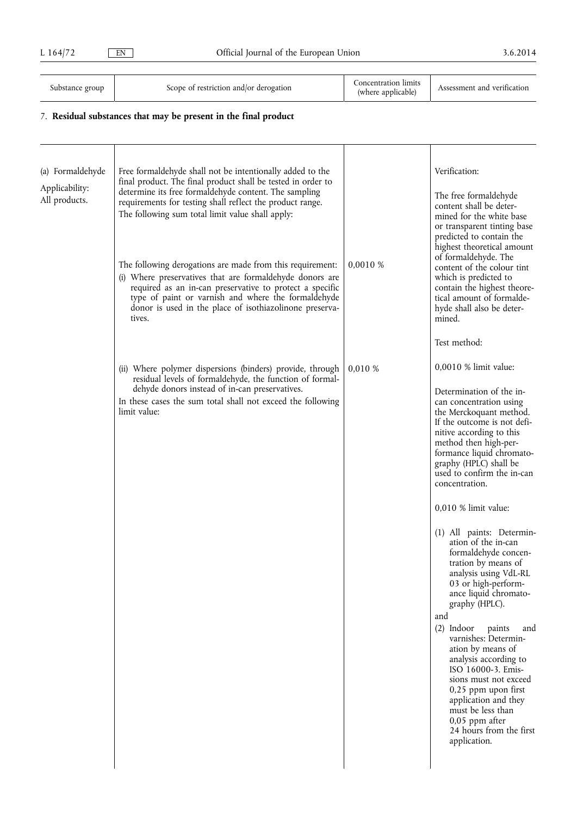| Substance group |  |
|-----------------|--|
|-----------------|--|

Scope of restriction and/or derogation

(where applicable) Assessment and verification

## 7. **Residual substances that may be present in the final product**

| (a) Formaldehyde<br>Applicability:<br>All products. | Free formaldehyde shall not be intentionally added to the<br>final product. The final product shall be tested in order to<br>determine its free formaldehyde content. The sampling<br>requirements for testing shall reflect the product range.<br>The following sum total limit value shall apply:<br>The following derogations are made from this requirement:<br>(i) Where preservatives that are formaldehyde donors are<br>required as an in-can preservative to protect a specific<br>type of paint or varnish and where the formaldehyde<br>donor is used in the place of isothiazolinone preserva-<br>tives. | 0,0010 % | Verification:<br>The free formaldehyde<br>content shall be deter-<br>mined for the white base<br>or transparent tinting base<br>predicted to contain the<br>highest theoretical amount<br>of formaldehyde. The<br>content of the colour tint<br>which is predicted to<br>contain the highest theore-<br>tical amount of formalde-<br>hyde shall also be deter-<br>mined.                                                                                                                                                                                                                                                                                                                                                                                                                                                                 |
|-----------------------------------------------------|----------------------------------------------------------------------------------------------------------------------------------------------------------------------------------------------------------------------------------------------------------------------------------------------------------------------------------------------------------------------------------------------------------------------------------------------------------------------------------------------------------------------------------------------------------------------------------------------------------------------|----------|------------------------------------------------------------------------------------------------------------------------------------------------------------------------------------------------------------------------------------------------------------------------------------------------------------------------------------------------------------------------------------------------------------------------------------------------------------------------------------------------------------------------------------------------------------------------------------------------------------------------------------------------------------------------------------------------------------------------------------------------------------------------------------------------------------------------------------------|
|                                                     | (ii) Where polymer dispersions (binders) provide, through<br>residual levels of formaldehyde, the function of formal-<br>dehyde donors instead of in-can preservatives.<br>In these cases the sum total shall not exceed the following<br>limit value:                                                                                                                                                                                                                                                                                                                                                               | 0,010%   | Test method:<br>0,0010 % limit value:<br>Determination of the in-<br>can concentration using<br>the Merckoquant method.<br>If the outcome is not defi-<br>nitive according to this<br>method then high-per-<br>formance liquid chromato-<br>graphy (HPLC) shall be<br>used to confirm the in-can<br>concentration.<br>0,010 % limit value:<br>(1) All paints: Determin-<br>ation of the in-can<br>formaldehyde concen-<br>tration by means of<br>analysis using VdL-RL<br>03 or high-perform-<br>ance liquid chromato-<br>graphy (HPLC).<br>and<br>$(2)$ Indoor<br>paints<br>and<br>varnishes: Determin-<br>ation by means of<br>analysis according to<br>ISO 16000-3. Emis-<br>sions must not exceed<br>0,25 ppm upon first<br>application and they<br>must be less than<br>$0,05$ ppm after<br>24 hours from the first<br>application. |